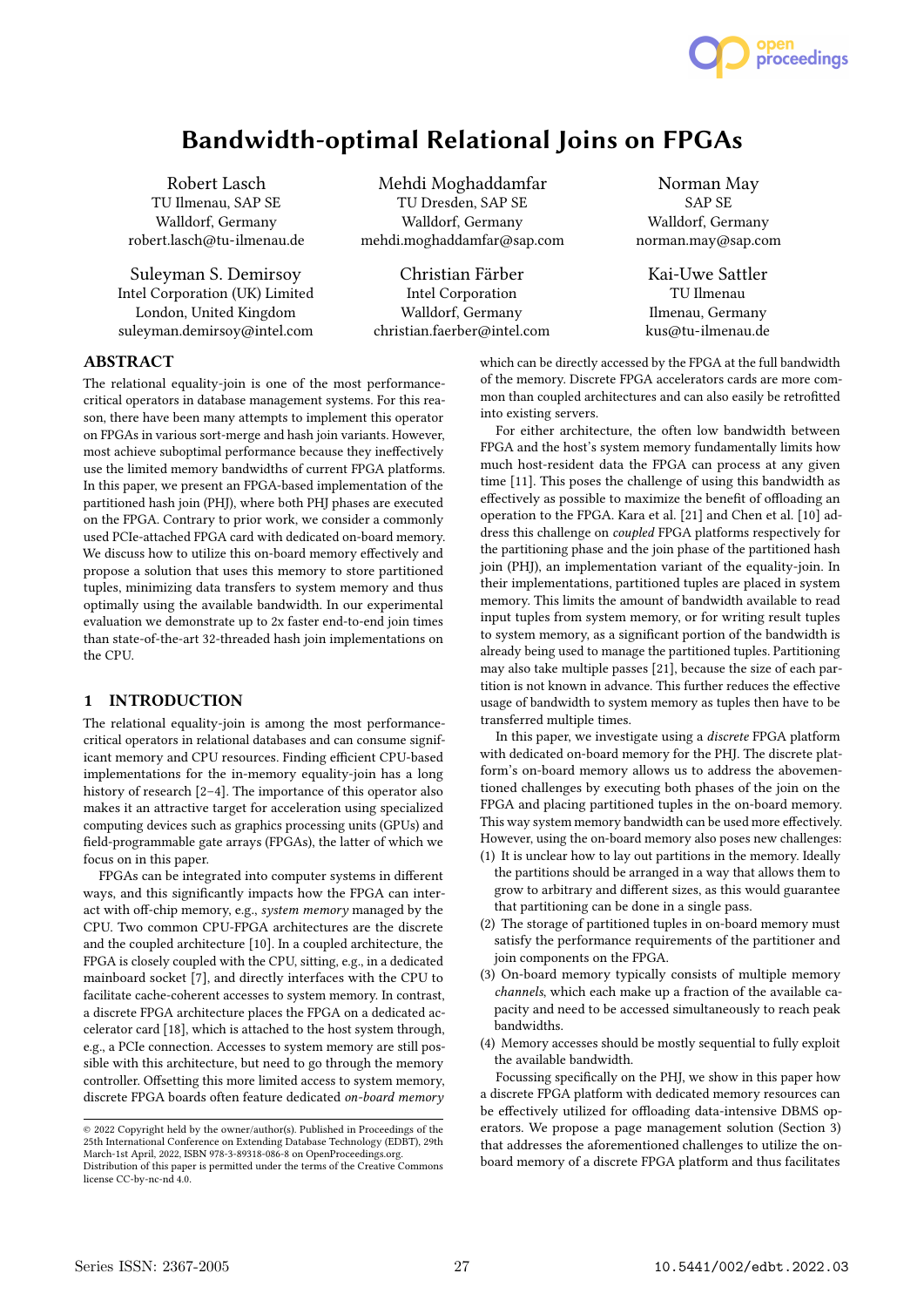

# Bandwidth-optimal Relational Joins on FPGAs

Robert Lasch TU Ilmenau, SAP SE Walldorf, Germany robert.lasch@tu-ilmenau.de

Suleyman S. Demirsoy Intel Corporation (UK) Limited London, United Kingdom suleyman.demirsoy@intel.com

Mehdi Moghaddamfar TU Dresden, SAP SE Walldorf, Germany mehdi.moghaddamfar@sap.com

Christian Färber Intel Corporation Walldorf, Germany christian.faerber@intel.com

Norman May SAP SE Walldorf, Germany norman.may@sap.com

Kai-Uwe Sattler TU Ilmenau Ilmenau, Germany kus@tu-ilmenau.de

# ABSTRACT

The relational equality-join is one of the most performancecritical operators in database management systems. For this reason, there have been many attempts to implement this operator on FPGAs in various sort-merge and hash join variants. However, most achieve suboptimal performance because they ineffectively use the limited memory bandwidths of current FPGA platforms. In this paper, we present an FPGA-based implementation of the partitioned hash join (PHJ), where both PHJ phases are executed on the FPGA. Contrary to prior work, we consider a commonly used PCIe-attached FPGA card with dedicated on-board memory. We discuss how to utilize this on-board memory effectively and propose a solution that uses this memory to store partitioned tuples, minimizing data transfers to system memory and thus optimally using the available bandwidth. In our experimental evaluation we demonstrate up to 2x faster end-to-end join times than state-of-the-art 32-threaded hash join implementations on the CPU.

#### 1 INTRODUCTION

The relational equality-join is among the most performancecritical operators in relational databases and can consume significant memory and CPU resources. Finding efficient CPU-based implementations for the in-memory equality-join has a long history of research [2–4]. The importance of this operator also makes it an attractive target for acceleration using specialized computing devices such as graphics processing units (GPUs) and field-programmable gate arrays (FPGAs), the latter of which we focus on in this paper.

FPGAs can be integrated into computer systems in different ways, and this significantly impacts how the FPGA can interact with off-chip memory, e.g., system memory managed by the CPU. Two common CPU-FPGA architectures are the discrete and the coupled architecture [10]. In a coupled architecture, the FPGA is closely coupled with the CPU, sitting, e.g., in a dedicated mainboard socket [7], and directly interfaces with the CPU to facilitate cache-coherent accesses to system memory. In contrast, a discrete FPGA architecture places the FPGA on a dedicated accelerator card [18], which is attached to the host system through, e.g., a PCIe connection. Accesses to system memory are still possible with this architecture, but need to go through the memory controller. Offsetting this more limited access to system memory, discrete FPGA boards often feature dedicated on-board memory which can be directly accessed by the FPGA at the full bandwidth of the memory. Discrete FPGA accelerators cards are more common than coupled architectures and can also easily be retrofitted into existing servers.

For either architecture, the often low bandwidth between FPGA and the host's system memory fundamentally limits how much host-resident data the FPGA can process at any given time [11]. This poses the challenge of using this bandwidth as effectively as possible to maximize the benefit of offloading an operation to the FPGA. Kara et al. [21] and Chen et al. [10] address this challenge on coupled FPGA platforms respectively for the partitioning phase and the join phase of the partitioned hash join (PHJ), an implementation variant of the equality-join. In their implementations, partitioned tuples are placed in system memory. This limits the amount of bandwidth available to read input tuples from system memory, or for writing result tuples to system memory, as a significant portion of the bandwidth is already being used to manage the partitioned tuples. Partitioning may also take multiple passes [21], because the size of each partition is not known in advance. This further reduces the effective usage of bandwidth to system memory as tuples then have to be transferred multiple times.

In this paper, we investigate using a discrete FPGA platform with dedicated on-board memory for the PHJ. The discrete platform's on-board memory allows us to address the abovementioned challenges by executing both phases of the join on the FPGA and placing partitioned tuples in the on-board memory. This way system memory bandwidth can be used more effectively. However, using the on-board memory also poses new challenges:

- (1) It is unclear how to lay out partitions in the memory. Ideally the partitions should be arranged in a way that allows them to grow to arbitrary and different sizes, as this would guarantee that partitioning can be done in a single pass.
- (2) The storage of partitioned tuples in on-board memory must satisfy the performance requirements of the partitioner and join components on the FPGA.
- (3) On-board memory typically consists of multiple memory channels, which each make up a fraction of the available capacity and need to be accessed simultaneously to reach peak bandwidths.
- (4) Memory accesses should be mostly sequential to fully exploit the available bandwidth.

Focussing specifically on the PHJ, we show in this paper how a discrete FPGA platform with dedicated memory resources can be effectively utilized for offloading data-intensive DBMS operators. We propose a page management solution (Section 3) that addresses the aforementioned challenges to utilize the onboard memory of a discrete FPGA platform and thus facilitates

<sup>©</sup> 2022 Copyright held by the owner/author(s). Published in Proceedings of the 25th International Conference on Extending Database Technology (EDBT), 29th March-1st April, 2022, ISBN 978-3-89318-086-8 on OpenProceedings.org.

Distribution of this paper is permitted under the terms of the Creative Commons license CC-by-nc-nd 4.0.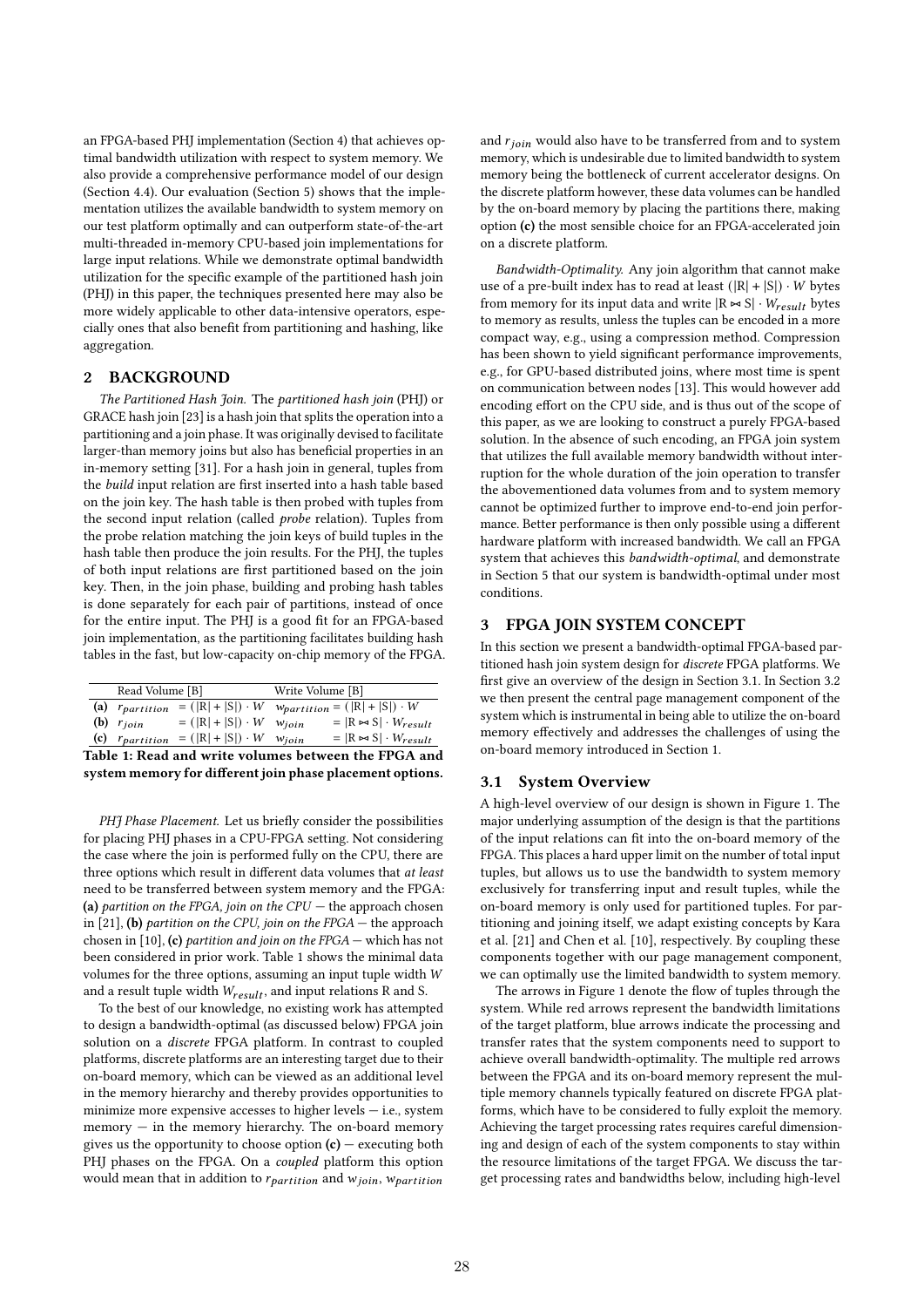an FPGA-based PHJ implementation (Section 4) that achieves optimal bandwidth utilization with respect to system memory. We also provide a comprehensive performance model of our design (Section 4.4). Our evaluation (Section 5) shows that the implementation utilizes the available bandwidth to system memory on our test platform optimally and can outperform state-of-the-art multi-threaded in-memory CPU-based join implementations for large input relations. While we demonstrate optimal bandwidth utilization for the specific example of the partitioned hash join (PHJ) in this paper, the techniques presented here may also be more widely applicable to other data-intensive operators, especially ones that also benefit from partitioning and hashing, like aggregation.

#### 2 BACKGROUND

The Partitioned Hash Join. The partitioned hash join (PHJ) or GRACE hash join [23] is a hash join that splits the operation into a partitioning and a join phase. It was originally devised to facilitate larger-than memory joins but also has beneficial properties in an in-memory setting [31]. For a hash join in general, tuples from the build input relation are first inserted into a hash table based on the join key. The hash table is then probed with tuples from the second input relation (called probe relation). Tuples from the probe relation matching the join keys of build tuples in the hash table then produce the join results. For the PHJ, the tuples of both input relations are first partitioned based on the join key. Then, in the join phase, building and probing hash tables is done separately for each pair of partitions, instead of once for the entire input. The PHJ is a good fit for an FPGA-based join implementation, as the partitioning facilitates building hash tables in the fast, but low-capacity on-chip memory of the FPGA.

| Read Volume [B]                                      |                |                                                                            | Write Volume [B] |                                                  |  |  |  |
|------------------------------------------------------|----------------|----------------------------------------------------------------------------|------------------|--------------------------------------------------|--|--|--|
|                                                      |                | (a) $r_{partition} = ( \mathbf{R}  +  \mathbf{S} ) \cdot W$                |                  | $w_{partition} = ( R  +  S ) \cdot \overline{W}$ |  |  |  |
|                                                      | (b) $r_{join}$ | $= ( R  +  S ) \cdot W$                                                    | $W$ <i>ioin</i>  | $=$ $ R \Join S  \cdot W_{result}$               |  |  |  |
|                                                      |                | (c) $r_{partition} = ( \mathbb{R}  +  \mathbb{S} ) \cdot W \cdot w_{join}$ |                  | $=$ $ R \bowtie S  \cdot W_{result}$             |  |  |  |
| Table 1: Read and write volumes between the FPGA and |                |                                                                            |                  |                                                  |  |  |  |

system memory for different join phase placement options.

PHJ Phase Placement. Let us briefly consider the possibilities for placing PHJ phases in a CPU-FPGA setting. Not considering the case where the join is performed fully on the CPU, there are three options which result in different data volumes that at least need to be transferred between system memory and the FPGA: (a) partition on the FPGA, join on the CPU  $-$  the approach chosen in [21], (b) partition on the CPU, join on the FPGA  $-$  the approach chosen in [10], (c) partition and join on the FPGA — which has not been considered in prior work. Table 1 shows the minimal data volumes for the three options, assuming an input tuple width and a result tuple width  $W_{result}$ , and input relations R and S.

To the best of our knowledge, no existing work has attempted to design a bandwidth-optimal (as discussed below) FPGA join solution on a discrete FPGA platform. In contrast to coupled platforms, discrete platforms are an interesting target due to their on-board memory, which can be viewed as an additional level in the memory hierarchy and thereby provides opportunities to minimize more expensive accesses to higher levels  $-$  i.e., system memory — in the memory hierarchy. The on-board memory gives us the opportunity to choose option  $(c)$  – executing both PHJ phases on the FPGA. On a coupled platform this option would mean that in addition to  $r_{partition}$  and  $w_{join}$ ,  $w_{partition}$  and  $r_{join}$  would also have to be transferred from and to system memory, which is undesirable due to limited bandwidth to system memory being the bottleneck of current accelerator designs. On the discrete platform however, these data volumes can be handled by the on-board memory by placing the partitions there, making option (c) the most sensible choice for an FPGA-accelerated join on a discrete platform.

Bandwidth-Optimality. Any join algorithm that cannot make use of a pre-built index has to read at least  $(|R| + |S|) \cdot W$  bytes from memory for its input data and write  $|R \Join S| \cdot W_{result}$  bytes to memory as results, unless the tuples can be encoded in a more compact way, e.g., using a compression method. Compression has been shown to yield significant performance improvements, e.g., for GPU-based distributed joins, where most time is spent on communication between nodes [13]. This would however add encoding effort on the CPU side, and is thus out of the scope of this paper, as we are looking to construct a purely FPGA-based solution. In the absence of such encoding, an FPGA join system that utilizes the full available memory bandwidth without interruption for the whole duration of the join operation to transfer the abovementioned data volumes from and to system memory cannot be optimized further to improve end-to-end join performance. Better performance is then only possible using a different hardware platform with increased bandwidth. We call an FPGA system that achieves this bandwidth-optimal, and demonstrate in Section 5 that our system is bandwidth-optimal under most conditions.

# 3 FPGA JOIN SYSTEM CONCEPT

In this section we present a bandwidth-optimal FPGA-based partitioned hash join system design for discrete FPGA platforms. We first give an overview of the design in Section 3.1. In Section 3.2 we then present the central page management component of the system which is instrumental in being able to utilize the on-board memory effectively and addresses the challenges of using the on-board memory introduced in Section 1.

#### 3.1 System Overview

A high-level overview of our design is shown in Figure 1. The major underlying assumption of the design is that the partitions of the input relations can fit into the on-board memory of the FPGA. This places a hard upper limit on the number of total input tuples, but allows us to use the bandwidth to system memory exclusively for transferring input and result tuples, while the on-board memory is only used for partitioned tuples. For partitioning and joining itself, we adapt existing concepts by Kara et al. [21] and Chen et al. [10], respectively. By coupling these components together with our page management component, we can optimally use the limited bandwidth to system memory.

The arrows in Figure 1 denote the flow of tuples through the system. While red arrows represent the bandwidth limitations of the target platform, blue arrows indicate the processing and transfer rates that the system components need to support to achieve overall bandwidth-optimality. The multiple red arrows between the FPGA and its on-board memory represent the multiple memory channels typically featured on discrete FPGA platforms, which have to be considered to fully exploit the memory. Achieving the target processing rates requires careful dimensioning and design of each of the system components to stay within the resource limitations of the target FPGA. We discuss the target processing rates and bandwidths below, including high-level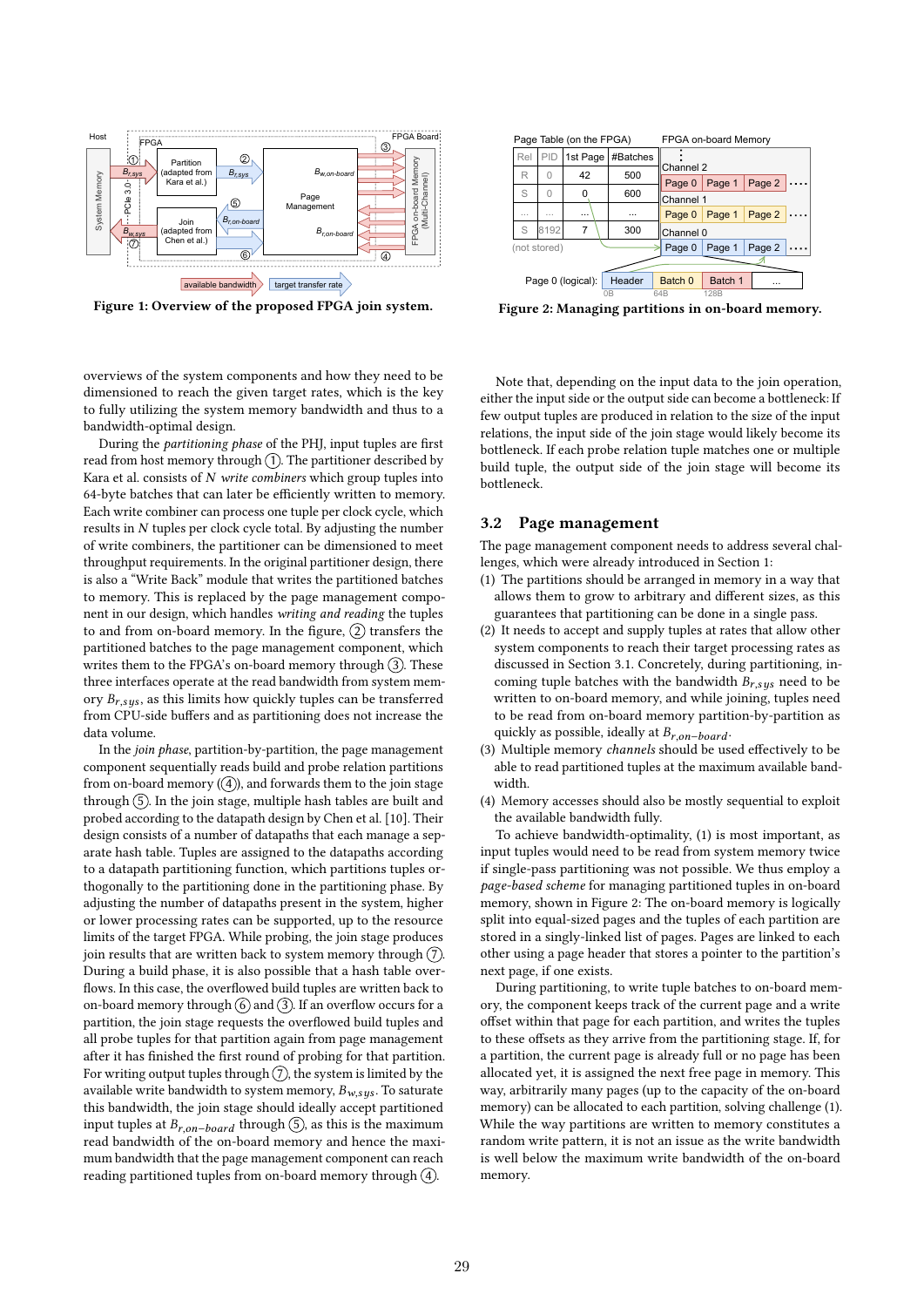

Figure 1: Overview of the proposed FPGA join system.

overviews of the system components and how they need to be dimensioned to reach the given target rates, which is the key to fully utilizing the system memory bandwidth and thus to a bandwidth-optimal design.

During the partitioning phase of the PHJ, input tuples are first read from host memory through  $(1)$ . The partitioner described by Kara et al. consists of  $N$  write combiners which group tuples into 64-byte batches that can later be efficiently written to memory. Each write combiner can process one tuple per clock cycle, which results in  $N$  tuples per clock cycle total. By adjusting the number of write combiners, the partitioner can be dimensioned to meet throughput requirements. In the original partitioner design, there is also a "Write Back" module that writes the partitioned batches to memory. This is replaced by the page management component in our design, which handles writing and reading the tuples to and from on-board memory. In the figure,  $(2)$  transfers the partitioned batches to the page management component, which writes them to the FPGA's on-board memory through  $(3)$ . These three interfaces operate at the read bandwidth from system memory  $B_{r,sys}$ , as this limits how quickly tuples can be transferred from CPU-side buffers and as partitioning does not increase the data volume.

In the join phase, partition-by-partition, the page management component sequentially reads build and probe relation partitions from on-board memory  $(\overline{4})$ , and forwards them to the join stage through  $(5)$ . In the join stage, multiple hash tables are built and probed according to the datapath design by Chen et al. [10]. Their design consists of a number of datapaths that each manage a separate hash table. Tuples are assigned to the datapaths according to a datapath partitioning function, which partitions tuples orthogonally to the partitioning done in the partitioning phase. By adjusting the number of datapaths present in the system, higher or lower processing rates can be supported, up to the resource limits of the target FPGA. While probing, the join stage produces join results that are written back to system memory through  $(7)$ . During a build phase, it is also possible that a hash table overflows. In this case, the overflowed build tuples are written back to on-board memory through  $(6)$  and  $(3)$ . If an overflow occurs for a partition, the join stage requests the overflowed build tuples and all probe tuples for that partition again from page management after it has finished the first round of probing for that partition. For writing output tuples through  $(7)$ , the system is limited by the available write bandwidth to system memory,  $B_{w,sys}$ . To saturate this bandwidth, the join stage should ideally accept partitioned input tuples at  $B_{r,on-board}$  through  $(5)$ , as this is the maximum read bandwidth of the on-board memory and hence the maximum bandwidth that the page management component can reach reading partitioned tuples from on-board memory through  $\overline{4}$ .



Figure 2: Managing partitions in on-board memory.

Note that, depending on the input data to the join operation, either the input side or the output side can become a bottleneck: If few output tuples are produced in relation to the size of the input relations, the input side of the join stage would likely become its bottleneck. If each probe relation tuple matches one or multiple build tuple, the output side of the join stage will become its bottleneck.

## 3.2 Page management

The page management component needs to address several challenges, which were already introduced in Section 1:

- (1) The partitions should be arranged in memory in a way that allows them to grow to arbitrary and different sizes, as this guarantees that partitioning can be done in a single pass.
- (2) It needs to accept and supply tuples at rates that allow other system components to reach their target processing rates as discussed in Section 3.1. Concretely, during partitioning, incoming tuple batches with the bandwidth  $B_{r,sys}$  need to be written to on-board memory, and while joining, tuples need to be read from on-board memory partition-by-partition as quickly as possible, ideally at  $B_{r, on-board}$ .
- (3) Multiple memory channels should be used effectively to be able to read partitioned tuples at the maximum available bandwidth.
- (4) Memory accesses should also be mostly sequential to exploit the available bandwidth fully.

To achieve bandwidth-optimality, (1) is most important, as input tuples would need to be read from system memory twice if single-pass partitioning was not possible. We thus employ a page-based scheme for managing partitioned tuples in on-board memory, shown in Figure 2: The on-board memory is logically split into equal-sized pages and the tuples of each partition are stored in a singly-linked list of pages. Pages are linked to each other using a page header that stores a pointer to the partition's next page, if one exists.

During partitioning, to write tuple batches to on-board memory, the component keeps track of the current page and a write offset within that page for each partition, and writes the tuples to these offsets as they arrive from the partitioning stage. If, for a partition, the current page is already full or no page has been allocated yet, it is assigned the next free page in memory. This way, arbitrarily many pages (up to the capacity of the on-board memory) can be allocated to each partition, solving challenge (1). While the way partitions are written to memory constitutes a random write pattern, it is not an issue as the write bandwidth is well below the maximum write bandwidth of the on-board memory.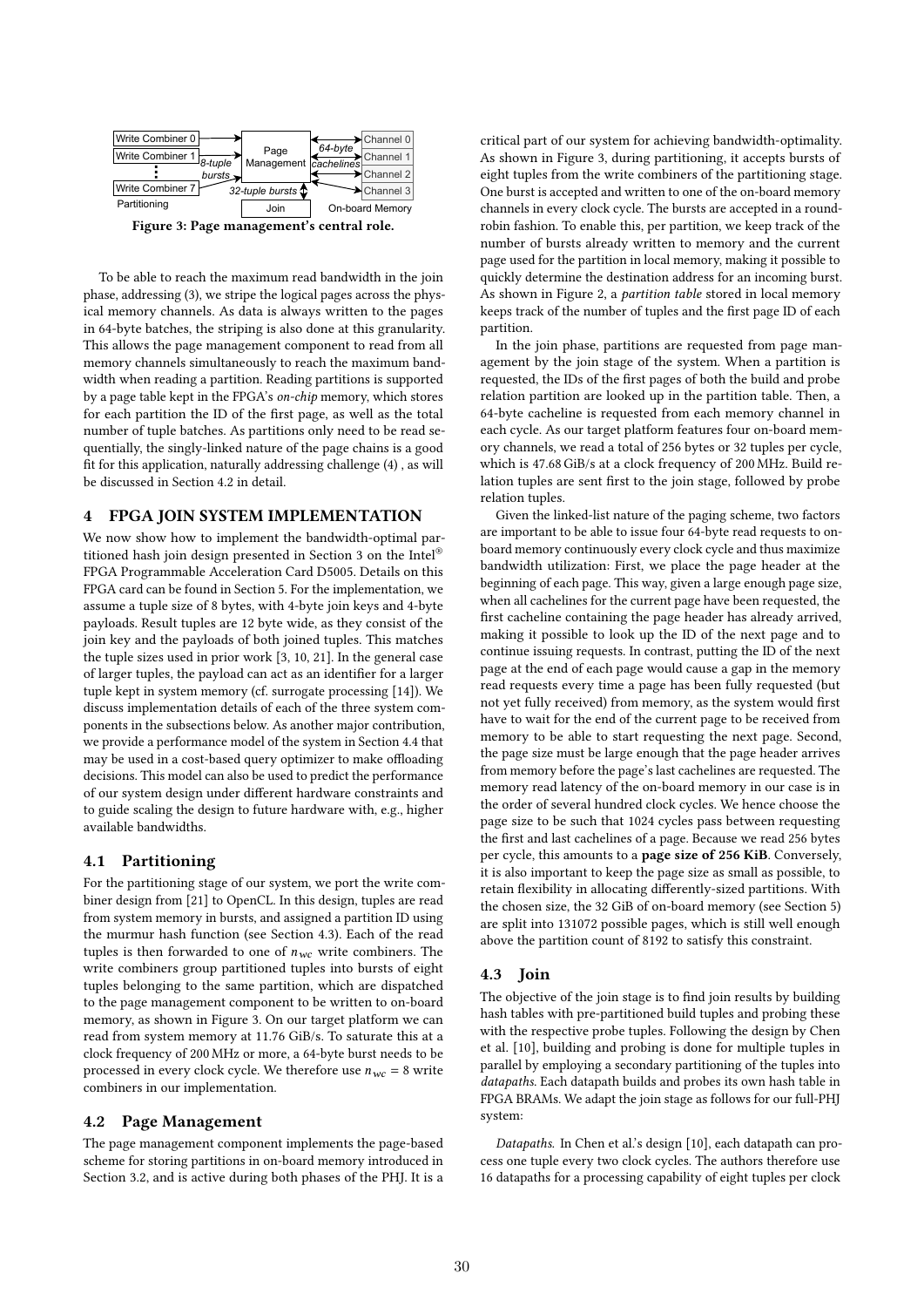

To be able to reach the maximum read bandwidth in the join phase, addressing (3), we stripe the logical pages across the physical memory channels. As data is always written to the pages in 64-byte batches, the striping is also done at this granularity. This allows the page management component to read from all memory channels simultaneously to reach the maximum bandwidth when reading a partition. Reading partitions is supported by a page table kept in the FPGA's on-chip memory, which stores for each partition the ID of the first page, as well as the total number of tuple batches. As partitions only need to be read sequentially, the singly-linked nature of the page chains is a good fit for this application, naturally addressing challenge (4) , as will be discussed in Section 4.2 in detail.

# 4 FPGA JOIN SYSTEM IMPLEMENTATION

We now show how to implement the bandwidth-optimal partitioned hash join design presented in Section 3 on the Intel® FPGA Programmable Acceleration Card D5005. Details on this FPGA card can be found in Section 5. For the implementation, we assume a tuple size of 8 bytes, with 4-byte join keys and 4-byte payloads. Result tuples are 12 byte wide, as they consist of the join key and the payloads of both joined tuples. This matches the tuple sizes used in prior work [3, 10, 21]. In the general case of larger tuples, the payload can act as an identifier for a larger tuple kept in system memory (cf. surrogate processing [14]). We discuss implementation details of each of the three system components in the subsections below. As another major contribution, we provide a performance model of the system in Section 4.4 that may be used in a cost-based query optimizer to make offloading decisions. This model can also be used to predict the performance of our system design under different hardware constraints and to guide scaling the design to future hardware with, e.g., higher available bandwidths.

# 4.1 Partitioning

For the partitioning stage of our system, we port the write combiner design from [21] to OpenCL. In this design, tuples are read from system memory in bursts, and assigned a partition ID using the murmur hash function (see Section 4.3). Each of the read tuples is then forwarded to one of  $n_{wc}$  write combiners. The write combiners group partitioned tuples into bursts of eight tuples belonging to the same partition, which are dispatched to the page management component to be written to on-board memory, as shown in Figure 3. On our target platform we can read from system memory at 11.76 GiB/s. To saturate this at a clock frequency of 200 MHz or more, a 64-byte burst needs to be processed in every clock cycle. We therefore use  $n_{wc} = 8$  write combiners in our implementation.

# 4.2 Page Management

The page management component implements the page-based scheme for storing partitions in on-board memory introduced in Section 3.2, and is active during both phases of the PHJ. It is a

critical part of our system for achieving bandwidth-optimality. As shown in Figure 3, during partitioning, it accepts bursts of eight tuples from the write combiners of the partitioning stage. One burst is accepted and written to one of the on-board memory channels in every clock cycle. The bursts are accepted in a roundrobin fashion. To enable this, per partition, we keep track of the number of bursts already written to memory and the current page used for the partition in local memory, making it possible to quickly determine the destination address for an incoming burst. As shown in Figure 2, a partition table stored in local memory keeps track of the number of tuples and the first page ID of each partition.

In the join phase, partitions are requested from page management by the join stage of the system. When a partition is requested, the IDs of the first pages of both the build and probe relation partition are looked up in the partition table. Then, a 64-byte cacheline is requested from each memory channel in each cycle. As our target platform features four on-board memory channels, we read a total of 256 bytes or 32 tuples per cycle, which is 47.68 GiB/s at a clock frequency of 200 MHz. Build relation tuples are sent first to the join stage, followed by probe relation tuples.

Given the linked-list nature of the paging scheme, two factors are important to be able to issue four 64-byte read requests to onboard memory continuously every clock cycle and thus maximize bandwidth utilization: First, we place the page header at the beginning of each page. This way, given a large enough page size, when all cachelines for the current page have been requested, the first cacheline containing the page header has already arrived, making it possible to look up the ID of the next page and to continue issuing requests. In contrast, putting the ID of the next page at the end of each page would cause a gap in the memory read requests every time a page has been fully requested (but not yet fully received) from memory, as the system would first have to wait for the end of the current page to be received from memory to be able to start requesting the next page. Second, the page size must be large enough that the page header arrives from memory before the page's last cachelines are requested. The memory read latency of the on-board memory in our case is in the order of several hundred clock cycles. We hence choose the page size to be such that 1024 cycles pass between requesting the first and last cachelines of a page. Because we read 256 bytes per cycle, this amounts to a page size of 256 KiB. Conversely, it is also important to keep the page size as small as possible, to retain flexibility in allocating differently-sized partitions. With the chosen size, the 32 GiB of on-board memory (see Section 5) are split into 131072 possible pages, which is still well enough above the partition count of 8192 to satisfy this constraint.

# 4.3 Join

The objective of the join stage is to find join results by building hash tables with pre-partitioned build tuples and probing these with the respective probe tuples. Following the design by Chen et al. [10], building and probing is done for multiple tuples in parallel by employing a secondary partitioning of the tuples into datapaths. Each datapath builds and probes its own hash table in FPGA BRAMs. We adapt the join stage as follows for our full-PHJ system:

Datapaths. In Chen et al.'s design [10], each datapath can process one tuple every two clock cycles. The authors therefore use 16 datapaths for a processing capability of eight tuples per clock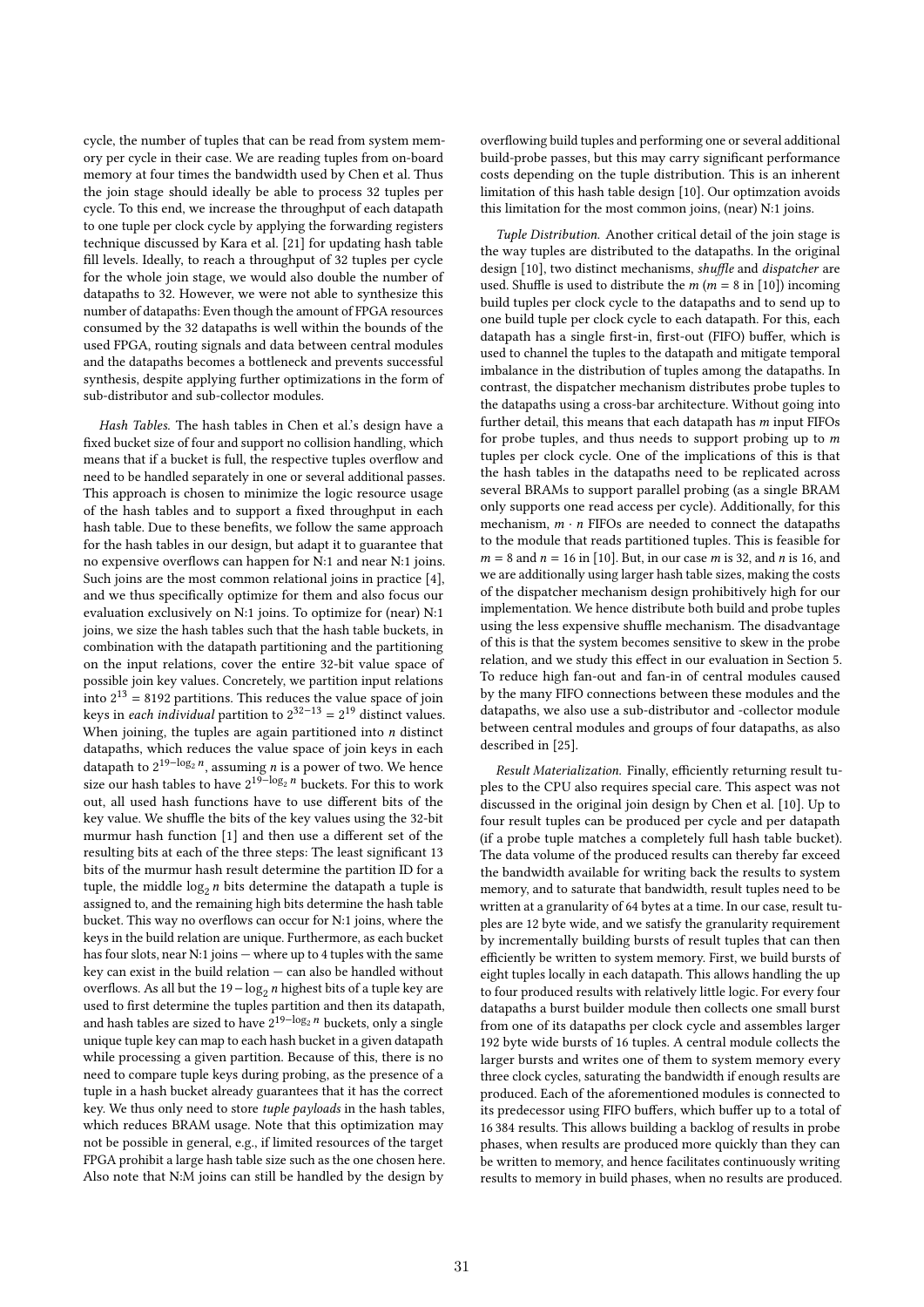cycle, the number of tuples that can be read from system memory per cycle in their case. We are reading tuples from on-board memory at four times the bandwidth used by Chen et al. Thus the join stage should ideally be able to process 32 tuples per cycle. To this end, we increase the throughput of each datapath to one tuple per clock cycle by applying the forwarding registers technique discussed by Kara et al. [21] for updating hash table fill levels. Ideally, to reach a throughput of 32 tuples per cycle for the whole join stage, we would also double the number of datapaths to 32. However, we were not able to synthesize this number of datapaths: Even though the amount of FPGA resources consumed by the 32 datapaths is well within the bounds of the used FPGA, routing signals and data between central modules and the datapaths becomes a bottleneck and prevents successful synthesis, despite applying further optimizations in the form of sub-distributor and sub-collector modules.

Hash Tables. The hash tables in Chen et al.'s design have a fixed bucket size of four and support no collision handling, which means that if a bucket is full, the respective tuples overflow and need to be handled separately in one or several additional passes. This approach is chosen to minimize the logic resource usage of the hash tables and to support a fixed throughput in each hash table. Due to these benefits, we follow the same approach for the hash tables in our design, but adapt it to guarantee that no expensive overflows can happen for N:1 and near N:1 joins. Such joins are the most common relational joins in practice [4], and we thus specifically optimize for them and also focus our evaluation exclusively on N:1 joins. To optimize for (near) N:1 joins, we size the hash tables such that the hash table buckets, in combination with the datapath partitioning and the partitioning on the input relations, cover the entire 32-bit value space of possible join key values. Concretely, we partition input relations into  $2^{13}$  = 8192 partitions. This reduces the value space of join keys in *each individual* partition to  $2^{32-13} = 2^{19}$  distinct values. When joining, the tuples are again partitioned into  $n$  distinct datapaths, which reduces the value space of join keys in each datapath to  $2^{19 - \log_2 n}$ , assuming *n* is a power of two. We hence size our hash tables to have  $2^{19-\log_2 n}$  buckets. For this to work out, all used hash functions have to use different bits of the key value. We shuffle the bits of the key values using the 32-bit murmur hash function [1] and then use a different set of the resulting bits at each of the three steps: The least significant 13 bits of the murmur hash result determine the partition ID for a tuple, the middle  $\log_2 n$  bits determine the datapath a tuple is assigned to, and the remaining high bits determine the hash table bucket. This way no overflows can occur for N:1 joins, where the keys in the build relation are unique. Furthermore, as each bucket has four slots, near N:1 joins — where up to 4 tuples with the same key can exist in the build relation — can also be handled without overflows. As all but the  $19 - \log_2 n$  highest bits of a tuple key are used to first determine the tuples partition and then its datapath, and hash tables are sized to have  $2^{19 - \log_2 n}$  buckets, only a single unique tuple key can map to each hash bucket in a given datapath while processing a given partition. Because of this, there is no need to compare tuple keys during probing, as the presence of a tuple in a hash bucket already guarantees that it has the correct key. We thus only need to store tuple payloads in the hash tables, which reduces BRAM usage. Note that this optimization may not be possible in general, e.g., if limited resources of the target FPGA prohibit a large hash table size such as the one chosen here. Also note that N:M joins can still be handled by the design by

overflowing build tuples and performing one or several additional build-probe passes, but this may carry significant performance costs depending on the tuple distribution. This is an inherent limitation of this hash table design [10]. Our optimzation avoids this limitation for the most common joins, (near) N:1 joins.

Tuple Distribution. Another critical detail of the join stage is the way tuples are distributed to the datapaths. In the original design [10], two distinct mechanisms, shuffle and dispatcher are used. Shuffle is used to distribute the  $m ( m = 8 \text{ in } [10])$  incoming build tuples per clock cycle to the datapaths and to send up to one build tuple per clock cycle to each datapath. For this, each datapath has a single first-in, first-out (FIFO) buffer, which is used to channel the tuples to the datapath and mitigate temporal imbalance in the distribution of tuples among the datapaths. In contrast, the dispatcher mechanism distributes probe tuples to the datapaths using a cross-bar architecture. Without going into further detail, this means that each datapath has  $m$  input FIFOs for probe tuples, and thus needs to support probing up to  $m$ tuples per clock cycle. One of the implications of this is that the hash tables in the datapaths need to be replicated across several BRAMs to support parallel probing (as a single BRAM only supports one read access per cycle). Additionally, for this mechanism,  $m \cdot n$  FIFOs are needed to connect the datapaths to the module that reads partitioned tuples. This is feasible for  $m = 8$  and  $n = 16$  in [10]. But, in our case *m* is 32, and *n* is 16, and we are additionally using larger hash table sizes, making the costs of the dispatcher mechanism design prohibitively high for our implementation. We hence distribute both build and probe tuples using the less expensive shuffle mechanism. The disadvantage of this is that the system becomes sensitive to skew in the probe relation, and we study this effect in our evaluation in Section 5. To reduce high fan-out and fan-in of central modules caused by the many FIFO connections between these modules and the datapaths, we also use a sub-distributor and -collector module between central modules and groups of four datapaths, as also described in [25].

Result Materialization. Finally, efficiently returning result tuples to the CPU also requires special care. This aspect was not discussed in the original join design by Chen et al. [10]. Up to four result tuples can be produced per cycle and per datapath (if a probe tuple matches a completely full hash table bucket). The data volume of the produced results can thereby far exceed the bandwidth available for writing back the results to system memory, and to saturate that bandwidth, result tuples need to be written at a granularity of 64 bytes at a time. In our case, result tuples are 12 byte wide, and we satisfy the granularity requirement by incrementally building bursts of result tuples that can then efficiently be written to system memory. First, we build bursts of eight tuples locally in each datapath. This allows handling the up to four produced results with relatively little logic. For every four datapaths a burst builder module then collects one small burst from one of its datapaths per clock cycle and assembles larger 192 byte wide bursts of 16 tuples. A central module collects the larger bursts and writes one of them to system memory every three clock cycles, saturating the bandwidth if enough results are produced. Each of the aforementioned modules is connected to its predecessor using FIFO buffers, which buffer up to a total of 16 384 results. This allows building a backlog of results in probe phases, when results are produced more quickly than they can be written to memory, and hence facilitates continuously writing results to memory in build phases, when no results are produced.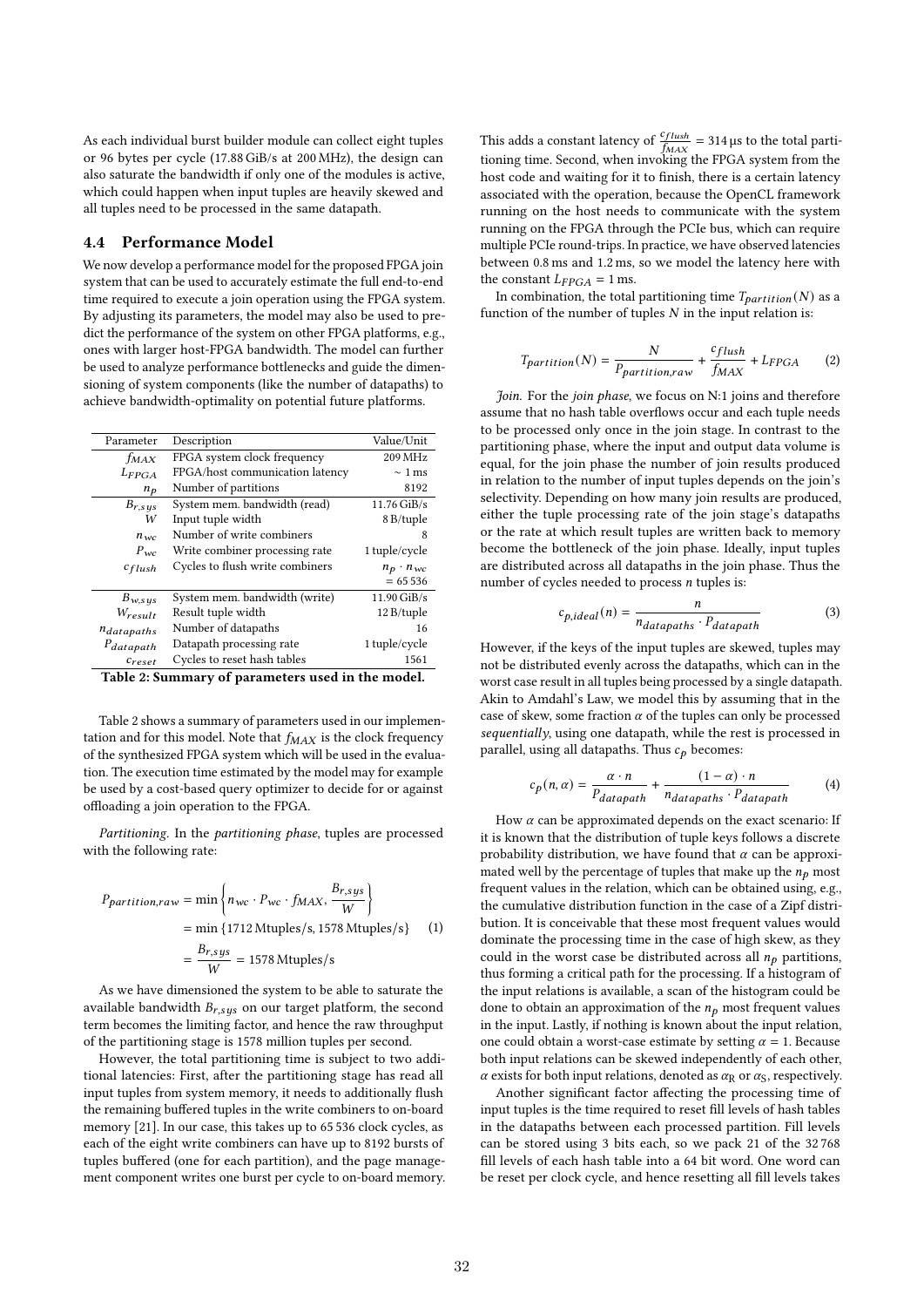As each individual burst builder module can collect eight tuples or 96 bytes per cycle (17.88 GiB/s at 200 MHz), the design can also saturate the bandwidth if only one of the modules is active, which could happen when input tuples are heavily skewed and all tuples need to be processed in the same datapath.

## 4.4 Performance Model

We now develop a performance model for the proposed FPGA join system that can be used to accurately estimate the full end-to-end time required to execute a join operation using the FPGA system. By adjusting its parameters, the model may also be used to predict the performance of the system on other FPGA platforms, e.g., ones with larger host-FPGA bandwidth. The model can further be used to analyze performance bottlenecks and guide the dimensioning of system components (like the number of datapaths) to achieve bandwidth-optimality on potential future platforms.

| Parameter             | Description                     | Value/Unit         |
|-----------------------|---------------------------------|--------------------|
| f <sub>MAX</sub>      | FPGA system clock frequency     | 209 MHz            |
| $L_{FPGA}$            | FPGA/host communication latency | $\sim$ 1 ms        |
| $n_p$                 | Number of partitions            | 8192               |
| $B_{r,sys}$           | System mem. bandwidth (read)    | 11.76 GiB/s        |
| W                     | Input tuple width               | 8 B/tuple          |
| $n_{wc}$              | Number of write combiners       | x                  |
| $P_{\rm wc}$          | Write combiner processing rate  | 1 tuple/cycle      |
| $c_{flush}$           | Cycles to flush write combiners | $n_p \cdot n_{wc}$ |
|                       |                                 | $= 65536$          |
| $B_{w,sys}$           | System mem. bandwidth (write)   | 11.90 GiB/s        |
| $W_{result}$          | Result tuple width              | 12 B/tuple         |
| ndatapaths            | Number of datapaths             | 16                 |
| P <sub>datapath</sub> | Datapath processing rate        | 1 tuple/cycle      |
| $c_{reset}$           | Cycles to reset hash tables     | 1561               |
|                       |                                 |                    |

Table 2: Summary of parameters used in the model.

Table 2 shows a summary of parameters used in our implementation and for this model. Note that  $f_{MAX}$  is the clock frequency of the synthesized FPGA system which will be used in the evaluation. The execution time estimated by the model may for example be used by a cost-based query optimizer to decide for or against offloading a join operation to the FPGA.

Partitioning. In the partitioning phase, tuples are processed with the following rate:

$$
Ppartition, raw = min \left\{ nwc \cdot Pwc \cdot fMAX, \frac{Br, sys}{W} \right\}
$$
  
= min {1712 Mtuples/s, 1578 Mtuples/s} (1)  
=  $\frac{Br, sys}{W}$  = 1578 Mtuples/s

As we have dimensioned the system to be able to saturate the available bandwidth  $B_{r, s\,ys}$  on our target platform, the second term becomes the limiting factor, and hence the raw throughput of the partitioning stage is 1578 million tuples per second.

However, the total partitioning time is subject to two additional latencies: First, after the partitioning stage has read all input tuples from system memory, it needs to additionally flush the remaining buffered tuples in the write combiners to on-board memory [21]. In our case, this takes up to 65 536 clock cycles, as each of the eight write combiners can have up to 8192 bursts of tuples buffered (one for each partition), and the page management component writes one burst per cycle to on-board memory.

This adds a constant latency of  $\frac{c_{flush}}{f_{MAX}}$  = 314 µs to the total partitioning time. Second, when invoking the FPGA system from the host code and waiting for it to finish, there is a certain latency associated with the operation, because the OpenCL framework running on the host needs to communicate with the system running on the FPGA through the PCIe bus, which can require multiple PCIe round-trips. In practice, we have observed latencies between 0.8 ms and 1.2 ms, so we model the latency here with the constant  $L_{FPGA} = 1$  ms.

In combination, the total partitioning time  $T_{partition}(N)$  as a function of the number of tuples  $N$  in the input relation is:

$$
T_{partition}(N) = \frac{N}{P_{partition, raw} + \frac{c_{flush}}{f_{MAX}} + L_{FPGA}
$$
 (2)

Join. For the join phase, we focus on N:1 joins and therefore assume that no hash table overflows occur and each tuple needs to be processed only once in the join stage. In contrast to the partitioning phase, where the input and output data volume is equal, for the join phase the number of join results produced in relation to the number of input tuples depends on the join's selectivity. Depending on how many join results are produced, either the tuple processing rate of the join stage's datapaths or the rate at which result tuples are written back to memory become the bottleneck of the join phase. Ideally, input tuples are distributed across all datapaths in the join phase. Thus the number of cycles needed to process  $n$  tuples is:

$$
c_{p,ideal}(n) = \frac{n}{n_{datapaths} \cdot P_{datapath}}
$$
\n(3)

However, if the keys of the input tuples are skewed, tuples may not be distributed evenly across the datapaths, which can in the worst case result in all tuples being processed by a single datapath. Akin to Amdahl's Law, we model this by assuming that in the case of skew, some fraction  $\alpha$  of the tuples can only be processed sequentially, using one datapath, while the rest is processed in parallel, using all datapaths. Thus  $c_p$  becomes:

$$
c_p(n,\alpha) = \frac{\alpha \cdot n}{P_{datapath}} + \frac{(1-\alpha) \cdot n}{n_{datapaths} \cdot P_{datapath}}
$$
(4)

How  $\alpha$  can be approximated depends on the exact scenario: If it is known that the distribution of tuple keys follows a discrete probability distribution, we have found that  $\alpha$  can be approximated well by the percentage of tuples that make up the  $n_p$  most frequent values in the relation, which can be obtained using, e.g., the cumulative distribution function in the case of a Zipf distribution. It is conceivable that these most frequent values would dominate the processing time in the case of high skew, as they could in the worst case be distributed across all  $n_p$  partitions, thus forming a critical path for the processing. If a histogram of the input relations is available, a scan of the histogram could be done to obtain an approximation of the  $n_p$  most frequent values in the input. Lastly, if nothing is known about the input relation, one could obtain a worst-case estimate by setting  $\alpha = 1$ . Because both input relations can be skewed independently of each other,  $\alpha$  exists for both input relations, denoted as  $\alpha_R$  or  $\alpha_S$ , respectively.

Another significant factor affecting the processing time of input tuples is the time required to reset fill levels of hash tables in the datapaths between each processed partition. Fill levels can be stored using 3 bits each, so we pack 21 of the 32 768 fill levels of each hash table into a 64 bit word. One word can be reset per clock cycle, and hence resetting all fill levels takes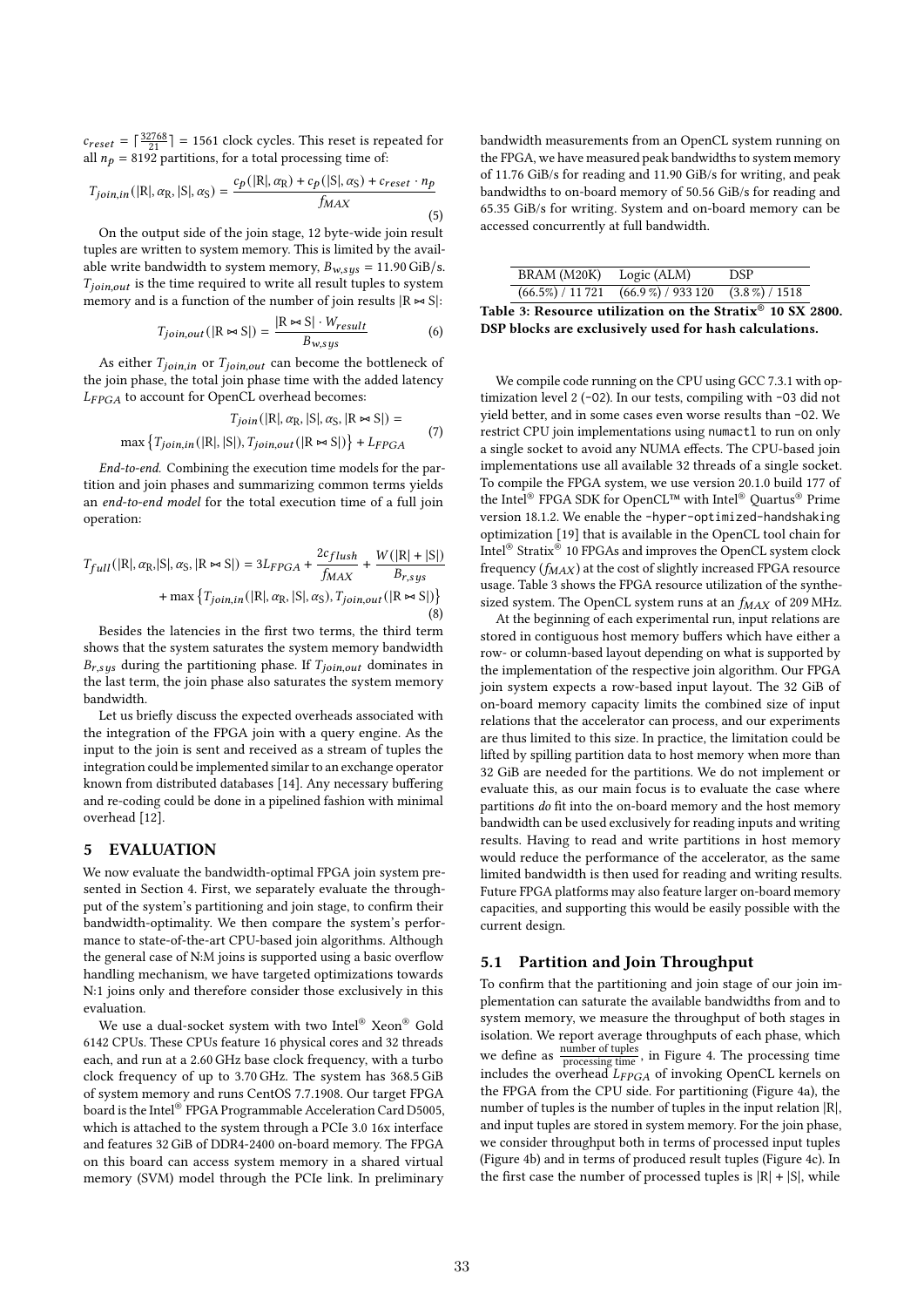$c_{reset} = \lceil \frac{32768}{21} \rceil = 1561$  clock cycles. This reset is repeated for all  $n_p = 8192$  partitions, for a total processing time of:

$$
T_{join,in}(|R|, \alpha_R, |S|, \alpha_S) = \frac{c_p(|R|, \alpha_R) + c_p(|S|, \alpha_S) + c_{reset} \cdot n_p}{f_{MAX}}
$$
\n(5)

On the output side of the join stage, 12 byte-wide join result tuples are written to system memory. This is limited by the available write bandwidth to system memory,  $B_{w, sys} = 11.90 \text{ GiB/s}.$  $T_{ioin \, out}$  is the time required to write all result tuples to system memory and is a function of the number of join results  $|R \approx S|$ :

$$
T_{join,out}(|R \bowtie S|) = \frac{|R \bowtie S| \cdot W_{result}}{B_{w,sys}} \tag{6}
$$

As either  $T_{join,in}$  or  $T_{join,out}$  can become the bottleneck of the join phase, the total join phase time with the added latency  $L_{FPGA}$  to account for OpenCL overhead becomes:

$$
T_{join}(|R|, \alpha_{R}, |S|, \alpha_{S}, |R \bowtie S|)
$$

$$
max \{ T_{join,in}(|R|, |S|), T_{join,out}(|R \bowtie S|) \} + L_{PPGA}
$$
 (7)

End-to-end. Combining the execution time models for the partition and join phases and summarizing common terms yields an end-to-end model for the total execution time of a full join operation:

$$
T_{full}(|R|, \alpha_{R}, |S|, \alpha_{S}, |R \bowtie S|) = 3L_{FPGA} + \frac{2c_{flux}}{f_{MAX}} + \frac{W(|R| + |S|)}{B_{r,sys}} + \max\{T_{join,in}(|R|, \alpha_{R}, |S|, \alpha_{S}), T_{join,out}(|R \bowtie S|)\}\
$$
\n(8)

Besides the latencies in the first two terms, the third term shows that the system saturates the system memory bandwidth  $B_{r, sys}$  during the partitioning phase. If  $T_{join,out}$  dominates in the last term, the join phase also saturates the system memory bandwidth.

Let us briefly discuss the expected overheads associated with the integration of the FPGA join with a query engine. As the input to the join is sent and received as a stream of tuples the integration could be implemented similar to an exchange operator known from distributed databases [14]. Any necessary buffering and re-coding could be done in a pipelined fashion with minimal overhead [12].

#### 5 EVALUATION

We now evaluate the bandwidth-optimal FPGA join system presented in Section 4. First, we separately evaluate the throughput of the system's partitioning and join stage, to confirm their bandwidth-optimality. We then compare the system's performance to state-of-the-art CPU-based join algorithms. Although the general case of N:M joins is supported using a basic overflow handling mechanism, we have targeted optimizations towards N:1 joins only and therefore consider those exclusively in this evaluation.

We use a dual-socket system with two Intel® Xeon® Gold 6142 CPUs. These CPUs feature 16 physical cores and 32 threads each, and run at a 2.60 GHz base clock frequency, with a turbo clock frequency of up to 3.70 GHz. The system has 368.5 GiB of system memory and runs CentOS 7.7.1908. Our target FPGA board is the Intel® FPGA Programmable Acceleration Card D5005, which is attached to the system through a PCIe 3.0 16x interface and features 32 GiB of DDR4-2400 on-board memory. The FPGA on this board can access system memory in a shared virtual memory (SVM) model through the PCIe link. In preliminary

bandwidth measurements from an OpenCL system running on the FPGA, we have measured peak bandwidths to system memory of 11.76 GiB/s for reading and 11.90 GiB/s for writing, and peak bandwidths to on-board memory of 50.56 GiB/s for reading and 65.35 GiB/s for writing. System and on-board memory can be accessed concurrently at full bandwidth.

| BRAM (M20K) Logic (ALM) |                                                     | DSP. |
|-------------------------|-----------------------------------------------------|------|
|                         | $(66.5\%) / 11721 (66.9\%) / 933120 (3.8\%) / 1518$ |      |

Table 3: Resource utilization on the Strati $\overline{x^{\circ}}$  10 SX 2800. DSP blocks are exclusively used for hash calculations.

We compile code running on the CPU using GCC 7.3.1 with optimization level 2 (-O2). In our tests, compiling with -O3 did not yield better, and in some cases even worse results than -O2. We restrict CPU join implementations using numactl to run on only a single socket to avoid any NUMA effects. The CPU-based join implementations use all available 32 threads of a single socket. To compile the FPGA system, we use version 20.1.0 build 177 of the Intel® FPGA SDK for OpenCL™ with Intel® Quartus® Prime version 18.1.2. We enable the -hyper-optimized-handshaking optimization [19] that is available in the OpenCL tool chain for Intel® Stratix® 10 FPGAs and improves the OpenCL system clock frequency  $(f_{MAX})$  at the cost of slightly increased FPGA resource usage. Table 3 shows the FPGA resource utilization of the synthesized system. The OpenCL system runs at an  $f_{MAX}$  of 209 MHz.

At the beginning of each experimental run, input relations are stored in contiguous host memory buffers which have either a row- or column-based layout depending on what is supported by the implementation of the respective join algorithm. Our FPGA join system expects a row-based input layout. The 32 GiB of on-board memory capacity limits the combined size of input relations that the accelerator can process, and our experiments are thus limited to this size. In practice, the limitation could be lifted by spilling partition data to host memory when more than 32 GiB are needed for the partitions. We do not implement or evaluate this, as our main focus is to evaluate the case where partitions do fit into the on-board memory and the host memory bandwidth can be used exclusively for reading inputs and writing results. Having to read and write partitions in host memory would reduce the performance of the accelerator, as the same limited bandwidth is then used for reading and writing results. Future FPGA platforms may also feature larger on-board memory capacities, and supporting this would be easily possible with the current design.

#### 5.1 Partition and Join Throughput

To confirm that the partitioning and join stage of our join implementation can saturate the available bandwidths from and to system memory, we measure the throughput of both stages in isolation. We report average throughputs of each phase, which we define as  $\frac{\text{number of tuples}}{\text{processing time}}$ , in Figure 4. The processing time includes the overhead  $L_{FPGA}$  of invoking OpenCL kernels on the FPGA from the CPU side. For partitioning (Figure 4a), the number of tuples is the number of tuples in the input relation |R|, and input tuples are stored in system memory. For the join phase, we consider throughput both in terms of processed input tuples (Figure 4b) and in terms of produced result tuples (Figure 4c). In the first case the number of processed tuples is  $|R| + |S|$ , while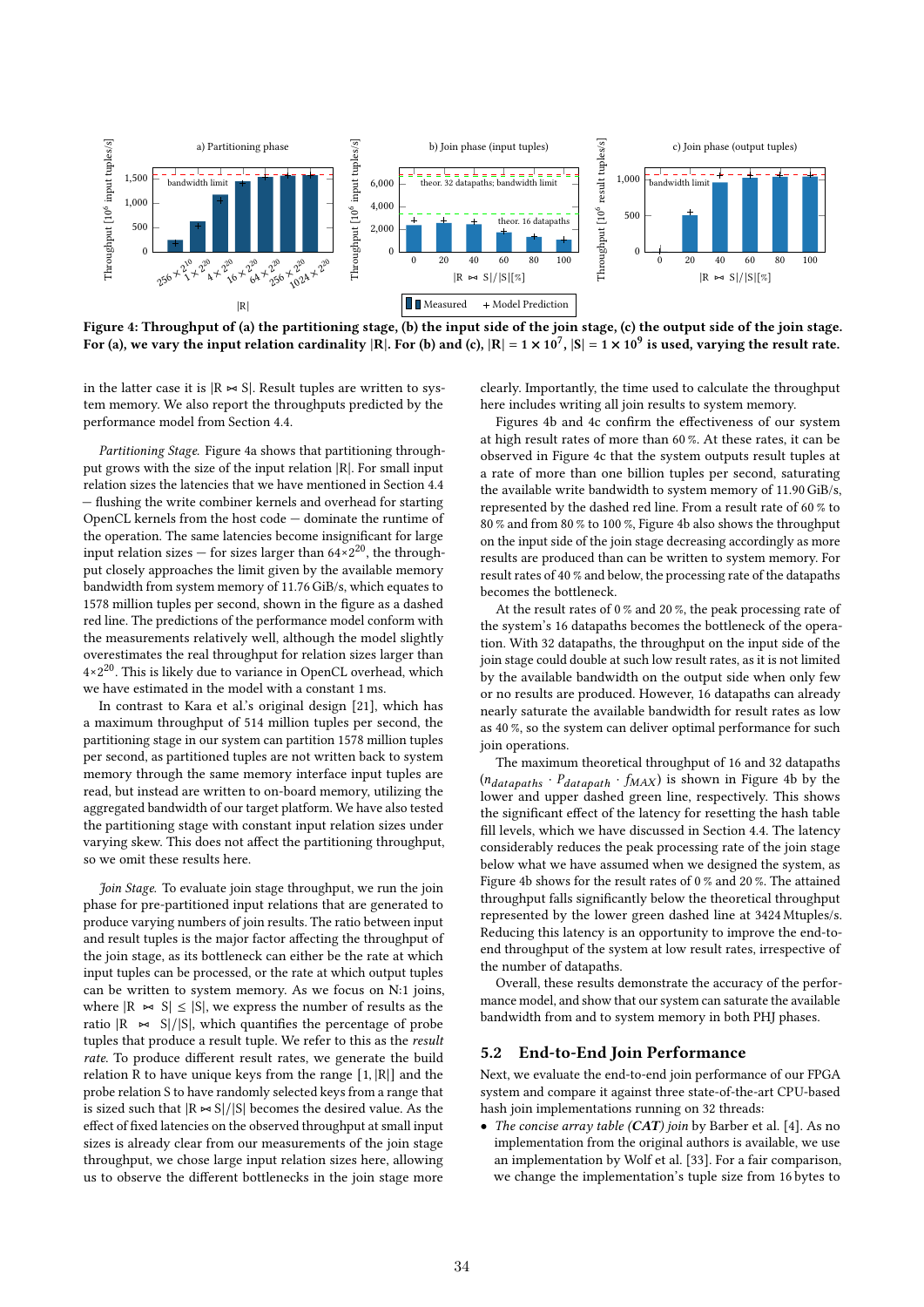

Figure 4: Throughput of (a) the partitioning stage, (b) the input side of the join stage, (c) the output side of the join stage. For (a), we vary the input relation cardinality  $|R|$ . For (b) and (c),  $|R| = 1 \times 10^7$ ,  $|S| = 1 \times 10^9$  is used, varying the result rate.

in the latter case it is  $|R \Join S|$ . Result tuples are written to system memory. We also report the throughputs predicted by the performance model from Section 4.4.

Partitioning Stage. Figure 4a shows that partitioning throughput grows with the size of the input relation |R|. For small input relation sizes the latencies that we have mentioned in Section 4.4 — flushing the write combiner kernels and overhead for starting OpenCL kernels from the host code — dominate the runtime of the operation. The same latencies become insignificant for large input relation sizes — for sizes larger than  $64 \times 2^{20}$ , the throughput closely approaches the limit given by the available memory bandwidth from system memory of 11.76 GiB/s, which equates to 1578 million tuples per second, shown in the figure as a dashed red line. The predictions of the performance model conform with the measurements relatively well, although the model slightly overestimates the real throughput for relation sizes larger than 4×2 <sup>20</sup>. This is likely due to variance in OpenCL overhead, which we have estimated in the model with a constant 1 ms.

In contrast to Kara et al.'s original design [21], which has a maximum throughput of 514 million tuples per second, the partitioning stage in our system can partition 1578 million tuples per second, as partitioned tuples are not written back to system memory through the same memory interface input tuples are read, but instead are written to on-board memory, utilizing the aggregated bandwidth of our target platform. We have also tested the partitioning stage with constant input relation sizes under varying skew. This does not affect the partitioning throughput, so we omit these results here.

Join Stage. To evaluate join stage throughput, we run the join phase for pre-partitioned input relations that are generated to produce varying numbers of join results. The ratio between input and result tuples is the major factor affecting the throughput of the join stage, as its bottleneck can either be the rate at which input tuples can be processed, or the rate at which output tuples can be written to system memory. As we focus on N:1 joins, where  $|R \Join S|$  ≤  $|S|$ , we express the number of results as the ratio  $|R$   $\thicksim$  S|/|S|, which quantifies the percentage of probe tuples that produce a result tuple. We refer to this as the result rate. To produce different result rates, we generate the build relation R to have unique keys from the range [1, |R|] and the probe relation S to have randomly selected keys from a range that is sized such that  $|R \Join S|/|S|$  becomes the desired value. As the effect of fixed latencies on the observed throughput at small input sizes is already clear from our measurements of the join stage throughput, we chose large input relation sizes here, allowing us to observe the different bottlenecks in the join stage more

clearly. Importantly, the time used to calculate the throughput here includes writing all join results to system memory.

Figures 4b and 4c confirm the effectiveness of our system at high result rates of more than 60 %. At these rates, it can be observed in Figure 4c that the system outputs result tuples at a rate of more than one billion tuples per second, saturating the available write bandwidth to system memory of 11.90 GiB/s, represented by the dashed red line. From a result rate of 60 % to 80 % and from 80 % to 100 %, Figure 4b also shows the throughput on the input side of the join stage decreasing accordingly as more results are produced than can be written to system memory. For result rates of 40 % and below, the processing rate of the datapaths becomes the bottleneck.

At the result rates of 0 % and 20 %, the peak processing rate of the system's 16 datapaths becomes the bottleneck of the operation. With 32 datapaths, the throughput on the input side of the join stage could double at such low result rates, as it is not limited by the available bandwidth on the output side when only few or no results are produced. However, 16 datapaths can already nearly saturate the available bandwidth for result rates as low as 40 %, so the system can deliver optimal performance for such join operations.

The maximum theoretical throughput of 16 and 32 datapaths  $(n_{datapaths} \cdot P_{datapath} \cdot f_{MAX})$  is shown in Figure 4b by the lower and upper dashed green line, respectively. This shows the significant effect of the latency for resetting the hash table fill levels, which we have discussed in Section 4.4. The latency considerably reduces the peak processing rate of the join stage below what we have assumed when we designed the system, as Figure 4b shows for the result rates of 0 % and 20 %. The attained throughput falls significantly below the theoretical throughput represented by the lower green dashed line at 3424 Mtuples/s. Reducing this latency is an opportunity to improve the end-toend throughput of the system at low result rates, irrespective of the number of datapaths.

Overall, these results demonstrate the accuracy of the performance model, and show that our system can saturate the available bandwidth from and to system memory in both PHJ phases.

# 5.2 End-to-End Join Performance

Next, we evaluate the end-to-end join performance of our FPGA system and compare it against three state-of-the-art CPU-based hash join implementations running on 32 threads:

• The concise array table (CAT) join by Barber et al. [4]. As no implementation from the original authors is available, we use an implementation by Wolf et al. [33]. For a fair comparison, we change the implementation's tuple size from 16 bytes to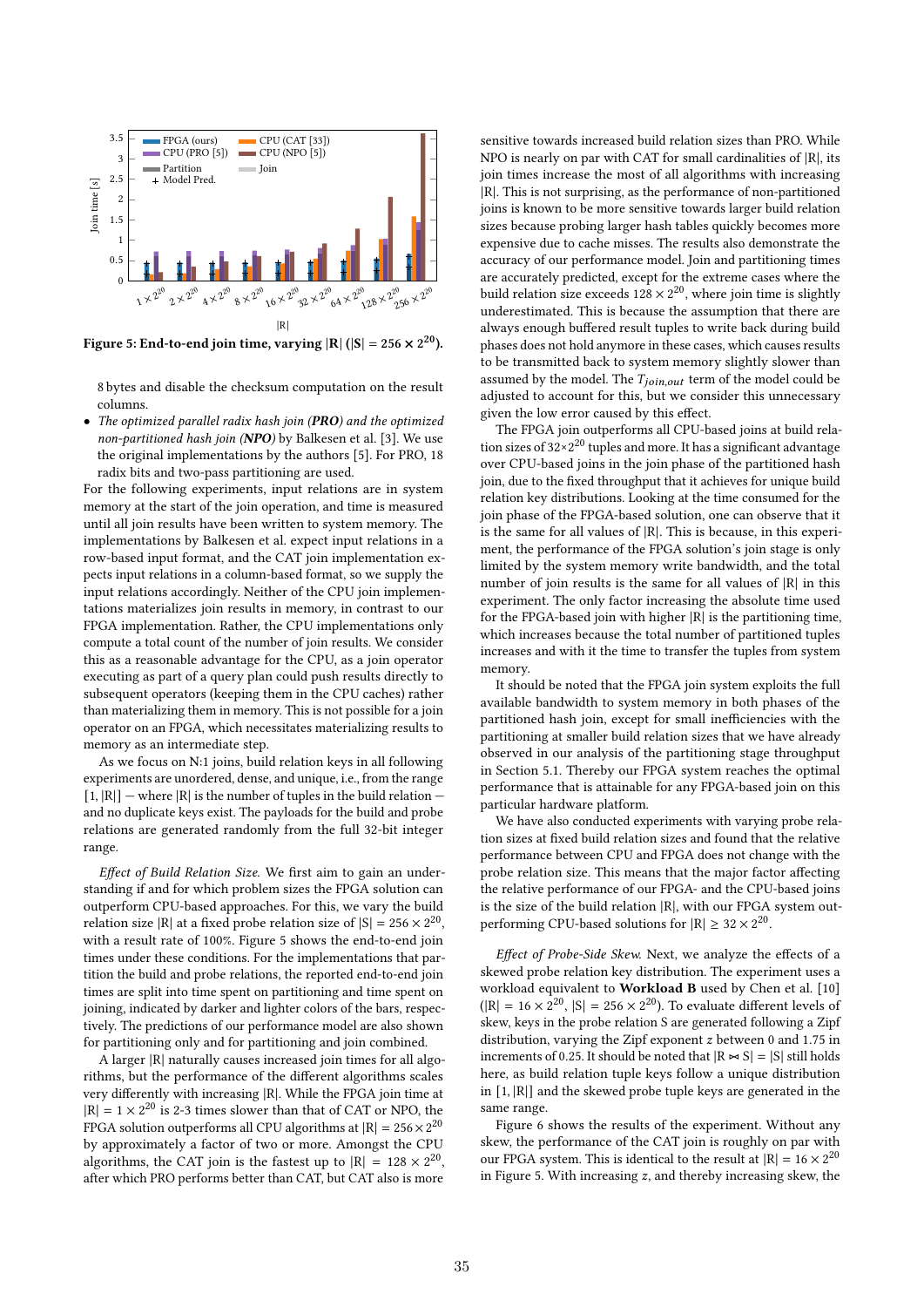

Figure 5: End-to-end join time, varying  $|R|$  (|S| = 256  $\times$  2<sup>20</sup>).

8 bytes and disable the checksum computation on the result columns.

• The optimized parallel radix hash join (PRO) and the optimized non-partitioned hash join (NPO) by Balkesen et al. [3]. We use the original implementations by the authors [5]. For PRO, 18 radix bits and two-pass partitioning are used.

For the following experiments, input relations are in system memory at the start of the join operation, and time is measured until all join results have been written to system memory. The implementations by Balkesen et al. expect input relations in a row-based input format, and the CAT join implementation expects input relations in a column-based format, so we supply the input relations accordingly. Neither of the CPU join implementations materializes join results in memory, in contrast to our FPGA implementation. Rather, the CPU implementations only compute a total count of the number of join results. We consider this as a reasonable advantage for the CPU, as a join operator executing as part of a query plan could push results directly to subsequent operators (keeping them in the CPU caches) rather than materializing them in memory. This is not possible for a join operator on an FPGA, which necessitates materializing results to memory as an intermediate step.

As we focus on N:1 joins, build relation keys in all following experiments are unordered, dense, and unique, i.e., from the range  $[1, |R|]$  – where  $|R|$  is the number of tuples in the build relation – and no duplicate keys exist. The payloads for the build and probe relations are generated randomly from the full 32-bit integer range.

Effect of Build Relation Size. We first aim to gain an understanding if and for which problem sizes the FPGA solution can outperform CPU-based approaches. For this, we vary the build relation size |R| at a fixed probe relation size of  $|S| = 256 \times 2^{20}$ , with a result rate of 100%. Figure 5 shows the end-to-end join times under these conditions. For the implementations that partition the build and probe relations, the reported end-to-end join times are split into time spent on partitioning and time spent on joining, indicated by darker and lighter colors of the bars, respectively. The predictions of our performance model are also shown for partitioning only and for partitioning and join combined.

A larger |R| naturally causes increased join times for all algorithms, but the performance of the different algorithms scales very differently with increasing |R|. While the FPGA join time at  $|R| = 1 \times 2^{20}$  is 2-3 times slower than that of CAT or NPO, the FPGA solution outperforms all CPU algorithms at  $|R| = 256 \times 2^{20}$ by approximately a factor of two or more. Amongst the CPU algorithms, the CAT join is the fastest up to  $|R| = 128 \times 2^{20}$ , after which PRO performs better than CAT, but CAT also is more

sensitive towards increased build relation sizes than PRO. While NPO is nearly on par with CAT for small cardinalities of |R|, its join times increase the most of all algorithms with increasing |R|. This is not surprising, as the performance of non-partitioned joins is known to be more sensitive towards larger build relation sizes because probing larger hash tables quickly becomes more expensive due to cache misses. The results also demonstrate the accuracy of our performance model. Join and partitioning times are accurately predicted, except for the extreme cases where the build relation size exceeds  $128 \times 2^{20}$ , where join time is slightly underestimated. This is because the assumption that there are always enough buffered result tuples to write back during build phases does not hold anymore in these cases, which causes results to be transmitted back to system memory slightly slower than assumed by the model. The  $T_{ioin,out}$  term of the model could be adjusted to account for this, but we consider this unnecessary given the low error caused by this effect.

The FPGA join outperforms all CPU-based joins at build relation sizes of  $32 \times 2^{20}$  tuples and more. It has a significant advantage over CPU-based joins in the join phase of the partitioned hash join, due to the fixed throughput that it achieves for unique build relation key distributions. Looking at the time consumed for the join phase of the FPGA-based solution, one can observe that it is the same for all values of |R|. This is because, in this experiment, the performance of the FPGA solution's join stage is only limited by the system memory write bandwidth, and the total number of join results is the same for all values of |R| in this experiment. The only factor increasing the absolute time used for the FPGA-based join with higher |R| is the partitioning time, which increases because the total number of partitioned tuples increases and with it the time to transfer the tuples from system memory.

It should be noted that the FPGA join system exploits the full available bandwidth to system memory in both phases of the partitioned hash join, except for small inefficiencies with the partitioning at smaller build relation sizes that we have already observed in our analysis of the partitioning stage throughput in Section 5.1. Thereby our FPGA system reaches the optimal performance that is attainable for any FPGA-based join on this particular hardware platform.

We have also conducted experiments with varying probe relation sizes at fixed build relation sizes and found that the relative performance between CPU and FPGA does not change with the probe relation size. This means that the major factor affecting the relative performance of our FPGA- and the CPU-based joins is the size of the build relation |R|, with our FPGA system outperforming CPU-based solutions for  $|R| \ge 32 \times 2^{20}$ .

Effect of Probe-Side Skew. Next, we analyze the effects of a skewed probe relation key distribution. The experiment uses a workload equivalent to Workload B used by Chen et al. [10]  $(|R| = 16 \times 2^{20}$ ,  $|S| = 256 \times 2^{20}$ ). To evaluate different levels of skew, keys in the probe relation S are generated following a Zipf distribution, varying the Zipf exponent  $z$  between 0 and 1.75 in increments of 0.25. It should be noted that  $|R \Join S| = |S|$  still holds here, as build relation tuple keys follow a unique distribution in [1, |R|] and the skewed probe tuple keys are generated in the same range.

Figure 6 shows the results of the experiment. Without any skew, the performance of the CAT join is roughly on par with our FPGA system. This is identical to the result at  $|R| = 16 \times 2^{20}$ in Figure 5. With increasing  $z$ , and thereby increasing skew, the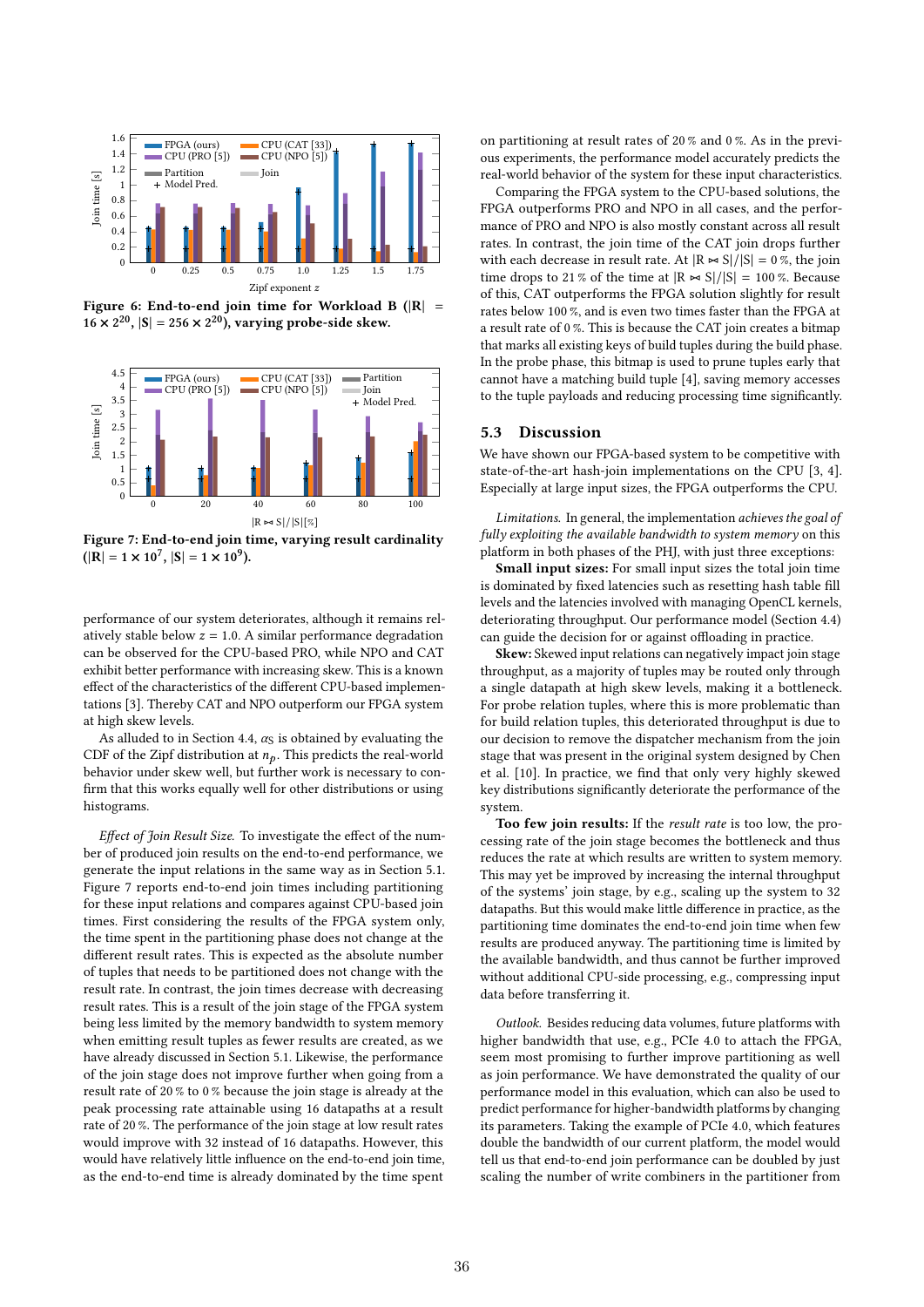

Figure 6: End-to-end join time for Workload B ( $|R|$  =  $16 \times 2^{20}$ ,  $|S| = 256 \times 2^{20}$ ), varying probe-side skew.



Figure 7: End-to-end join time, varying result cardinality  $(|R| = 1 \times 10^7, |S| = 1 \times 10^9).$ 

performance of our system deteriorates, although it remains relatively stable below  $z = 1.0$ . A similar performance degradation can be observed for the CPU-based PRO, while NPO and CAT exhibit better performance with increasing skew. This is a known effect of the characteristics of the different CPU-based implementations [3]. Thereby CAT and NPO outperform our FPGA system at high skew levels.

As alluded to in Section 4.4,  $\alpha_S$  is obtained by evaluating the CDF of the Zipf distribution at  $n_p$ . This predicts the real-world behavior under skew well, but further work is necessary to confirm that this works equally well for other distributions or using histograms.

Effect of Join Result Size. To investigate the effect of the number of produced join results on the end-to-end performance, we generate the input relations in the same way as in Section 5.1. Figure 7 reports end-to-end join times including partitioning for these input relations and compares against CPU-based join times. First considering the results of the FPGA system only, the time spent in the partitioning phase does not change at the different result rates. This is expected as the absolute number of tuples that needs to be partitioned does not change with the result rate. In contrast, the join times decrease with decreasing result rates. This is a result of the join stage of the FPGA system being less limited by the memory bandwidth to system memory when emitting result tuples as fewer results are created, as we have already discussed in Section 5.1. Likewise, the performance of the join stage does not improve further when going from a result rate of 20 % to 0 % because the join stage is already at the peak processing rate attainable using 16 datapaths at a result rate of 20 %. The performance of the join stage at low result rates would improve with 32 instead of 16 datapaths. However, this would have relatively little influence on the end-to-end join time, as the end-to-end time is already dominated by the time spent

on partitioning at result rates of 20 % and 0 %. As in the previous experiments, the performance model accurately predicts the real-world behavior of the system for these input characteristics.

Comparing the FPGA system to the CPU-based solutions, the FPGA outperforms PRO and NPO in all cases, and the performance of PRO and NPO is also mostly constant across all result rates. In contrast, the join time of the CAT join drops further with each decrease in result rate. At  $|R \Join S|/|S| = 0$ %, the join time drops to 21 % of the time at  $|R \Join S|/|S| = 100$  %. Because of this, CAT outperforms the FPGA solution slightly for result rates below 100 %, and is even two times faster than the FPGA at a result rate of 0 %. This is because the CAT join creates a bitmap that marks all existing keys of build tuples during the build phase. In the probe phase, this bitmap is used to prune tuples early that cannot have a matching build tuple [4], saving memory accesses to the tuple payloads and reducing processing time significantly.

# 5.3 Discussion

We have shown our FPGA-based system to be competitive with state-of-the-art hash-join implementations on the CPU [3, 4]. Especially at large input sizes, the FPGA outperforms the CPU.

Limitations. In general, the implementation achieves the goal of fully exploiting the available bandwidth to system memory on this platform in both phases of the PHJ, with just three exceptions:

Small input sizes: For small input sizes the total join time is dominated by fixed latencies such as resetting hash table fill levels and the latencies involved with managing OpenCL kernels, deteriorating throughput. Our performance model (Section 4.4) can guide the decision for or against offloading in practice.

Skew: Skewed input relations can negatively impact join stage throughput, as a majority of tuples may be routed only through a single datapath at high skew levels, making it a bottleneck. For probe relation tuples, where this is more problematic than for build relation tuples, this deteriorated throughput is due to our decision to remove the dispatcher mechanism from the join stage that was present in the original system designed by Chen et al. [10]. In practice, we find that only very highly skewed key distributions significantly deteriorate the performance of the system.

Too few join results: If the result rate is too low, the processing rate of the join stage becomes the bottleneck and thus reduces the rate at which results are written to system memory. This may yet be improved by increasing the internal throughput of the systems' join stage, by e.g., scaling up the system to 32 datapaths. But this would make little difference in practice, as the partitioning time dominates the end-to-end join time when few results are produced anyway. The partitioning time is limited by the available bandwidth, and thus cannot be further improved without additional CPU-side processing, e.g., compressing input data before transferring it.

Outlook. Besides reducing data volumes, future platforms with higher bandwidth that use, e.g., PCIe 4.0 to attach the FPGA, seem most promising to further improve partitioning as well as join performance. We have demonstrated the quality of our performance model in this evaluation, which can also be used to predict performance for higher-bandwidth platforms by changing its parameters. Taking the example of PCIe 4.0, which features double the bandwidth of our current platform, the model would tell us that end-to-end join performance can be doubled by just scaling the number of write combiners in the partitioner from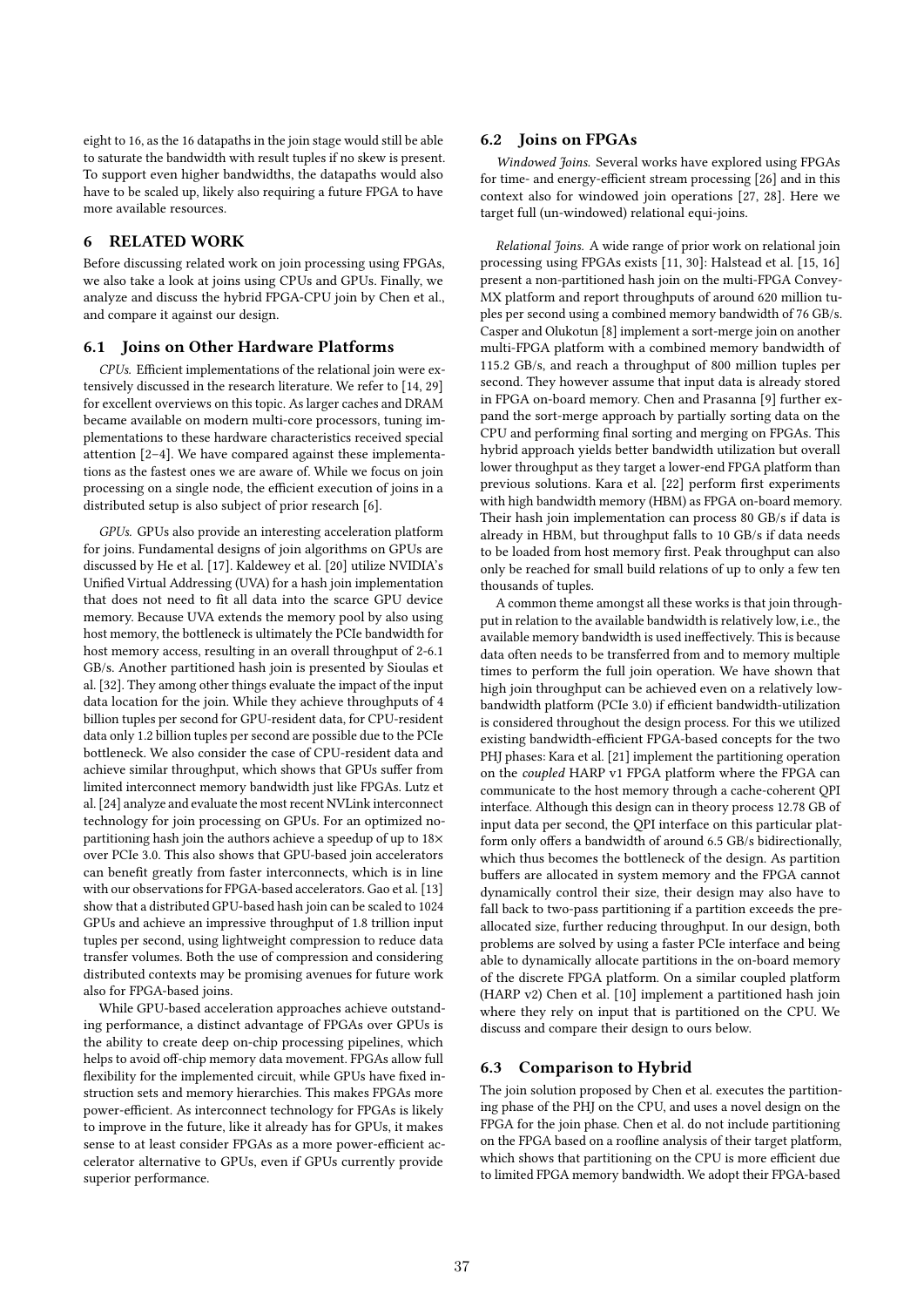eight to 16, as the 16 datapaths in the join stage would still be able to saturate the bandwidth with result tuples if no skew is present. To support even higher bandwidths, the datapaths would also have to be scaled up, likely also requiring a future FPGA to have more available resources.

# 6 RELATED WORK

Before discussing related work on join processing using FPGAs, we also take a look at joins using CPUs and GPUs. Finally, we analyze and discuss the hybrid FPGA-CPU join by Chen et al., and compare it against our design.

#### 6.1 Joins on Other Hardware Platforms

CPUs. Efficient implementations of the relational join were extensively discussed in the research literature. We refer to [14, 29] for excellent overviews on this topic. As larger caches and DRAM became available on modern multi-core processors, tuning implementations to these hardware characteristics received special attention [2–4]. We have compared against these implementations as the fastest ones we are aware of. While we focus on join processing on a single node, the efficient execution of joins in a distributed setup is also subject of prior research [6].

GPUs. GPUs also provide an interesting acceleration platform for joins. Fundamental designs of join algorithms on GPUs are discussed by He et al. [17]. Kaldewey et al. [20] utilize NVIDIA's Unified Virtual Addressing (UVA) for a hash join implementation that does not need to fit all data into the scarce GPU device memory. Because UVA extends the memory pool by also using host memory, the bottleneck is ultimately the PCIe bandwidth for host memory access, resulting in an overall throughput of 2-6.1 GB/s. Another partitioned hash join is presented by Sioulas et al. [32]. They among other things evaluate the impact of the input data location for the join. While they achieve throughputs of 4 billion tuples per second for GPU-resident data, for CPU-resident data only 1.2 billion tuples per second are possible due to the PCIe bottleneck. We also consider the case of CPU-resident data and achieve similar throughput, which shows that GPUs suffer from limited interconnect memory bandwidth just like FPGAs. Lutz et al. [24] analyze and evaluate the most recent NVLink interconnect technology for join processing on GPUs. For an optimized nopartitioning hash join the authors achieve a speedup of up to 18× over PCIe 3.0. This also shows that GPU-based join accelerators can benefit greatly from faster interconnects, which is in line with our observations for FPGA-based accelerators. Gao et al. [13] show that a distributed GPU-based hash join can be scaled to 1024 GPUs and achieve an impressive throughput of 1.8 trillion input tuples per second, using lightweight compression to reduce data transfer volumes. Both the use of compression and considering distributed contexts may be promising avenues for future work also for FPGA-based joins.

While GPU-based acceleration approaches achieve outstanding performance, a distinct advantage of FPGAs over GPUs is the ability to create deep on-chip processing pipelines, which helps to avoid off-chip memory data movement. FPGAs allow full flexibility for the implemented circuit, while GPUs have fixed instruction sets and memory hierarchies. This makes FPGAs more power-efficient. As interconnect technology for FPGAs is likely to improve in the future, like it already has for GPUs, it makes sense to at least consider FPGAs as a more power-efficient accelerator alternative to GPUs, even if GPUs currently provide superior performance.

#### 6.2 Joins on FPGAs

Windowed Joins. Several works have explored using FPGAs for time- and energy-efficient stream processing [26] and in this context also for windowed join operations [27, 28]. Here we target full (un-windowed) relational equi-joins.

Relational Joins. A wide range of prior work on relational join processing using FPGAs exists [11, 30]: Halstead et al. [15, 16] present a non-partitioned hash join on the multi-FPGA Convey-MX platform and report throughputs of around 620 million tuples per second using a combined memory bandwidth of 76 GB/s. Casper and Olukotun [8] implement a sort-merge join on another multi-FPGA platform with a combined memory bandwidth of 115.2 GB/s, and reach a throughput of 800 million tuples per second. They however assume that input data is already stored in FPGA on-board memory. Chen and Prasanna [9] further expand the sort-merge approach by partially sorting data on the CPU and performing final sorting and merging on FPGAs. This hybrid approach yields better bandwidth utilization but overall lower throughput as they target a lower-end FPGA platform than previous solutions. Kara et al. [22] perform first experiments with high bandwidth memory (HBM) as FPGA on-board memory. Their hash join implementation can process 80 GB/s if data is already in HBM, but throughput falls to 10 GB/s if data needs to be loaded from host memory first. Peak throughput can also only be reached for small build relations of up to only a few ten thousands of tuples.

A common theme amongst all these works is that join throughput in relation to the available bandwidth is relatively low, i.e., the available memory bandwidth is used ineffectively. This is because data often needs to be transferred from and to memory multiple times to perform the full join operation. We have shown that high join throughput can be achieved even on a relatively lowbandwidth platform (PCIe 3.0) if efficient bandwidth-utilization is considered throughout the design process. For this we utilized existing bandwidth-efficient FPGA-based concepts for the two PHJ phases: Kara et al. [21] implement the partitioning operation on the coupled HARP v1 FPGA platform where the FPGA can communicate to the host memory through a cache-coherent QPI interface. Although this design can in theory process 12.78 GB of input data per second, the QPI interface on this particular platform only offers a bandwidth of around 6.5 GB/s bidirectionally, which thus becomes the bottleneck of the design. As partition buffers are allocated in system memory and the FPGA cannot dynamically control their size, their design may also have to fall back to two-pass partitioning if a partition exceeds the preallocated size, further reducing throughput. In our design, both problems are solved by using a faster PCIe interface and being able to dynamically allocate partitions in the on-board memory of the discrete FPGA platform. On a similar coupled platform (HARP v2) Chen et al. [10] implement a partitioned hash join where they rely on input that is partitioned on the CPU. We discuss and compare their design to ours below.

#### 6.3 Comparison to Hybrid

The join solution proposed by Chen et al. executes the partitioning phase of the PHJ on the CPU, and uses a novel design on the FPGA for the join phase. Chen et al. do not include partitioning on the FPGA based on a roofline analysis of their target platform, which shows that partitioning on the CPU is more efficient due to limited FPGA memory bandwidth. We adopt their FPGA-based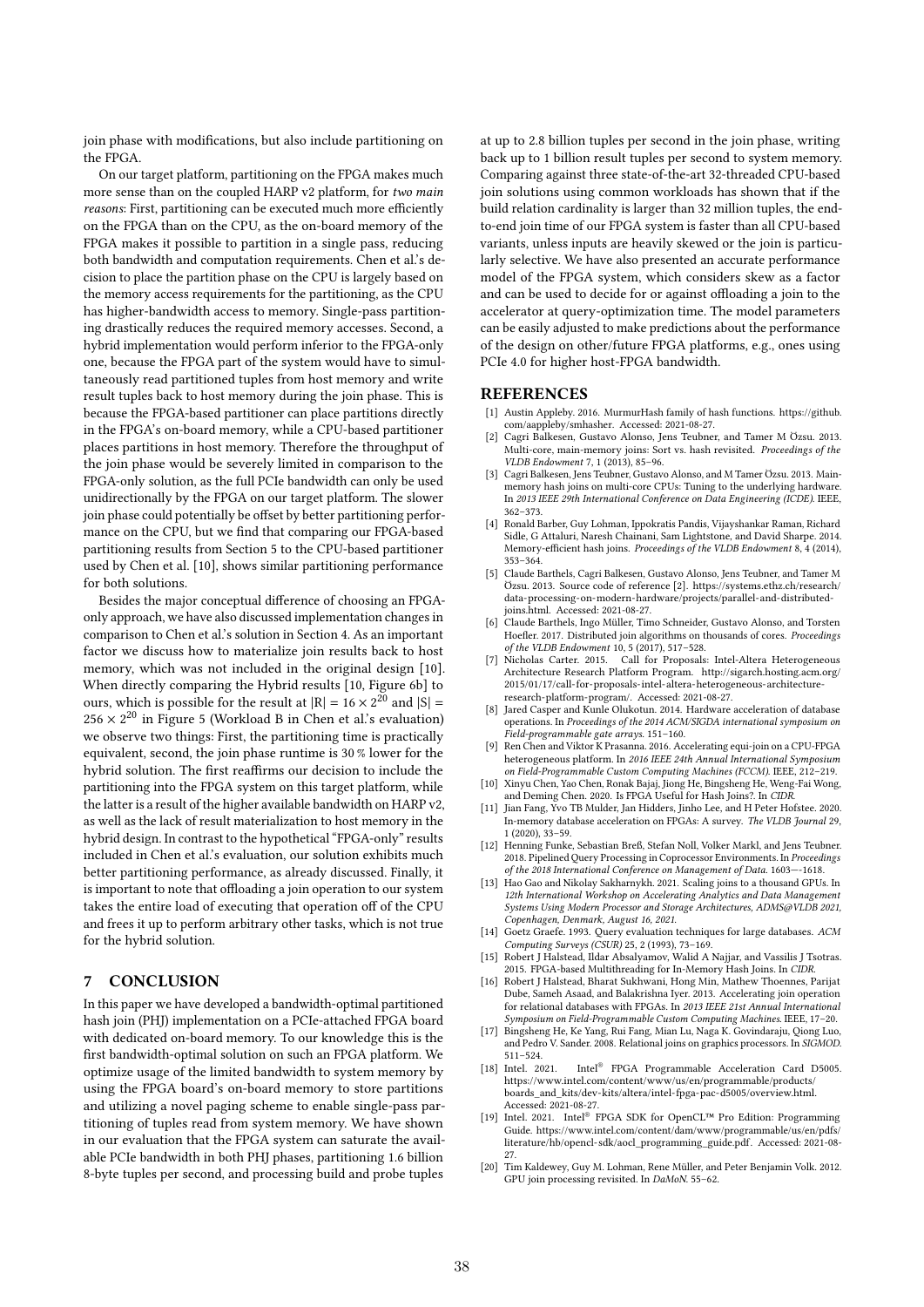join phase with modifications, but also include partitioning on the FPGA.

On our target platform, partitioning on the FPGA makes much more sense than on the coupled HARP v2 platform, for two main reasons: First, partitioning can be executed much more efficiently on the FPGA than on the CPU, as the on-board memory of the FPGA makes it possible to partition in a single pass, reducing both bandwidth and computation requirements. Chen et al.'s decision to place the partition phase on the CPU is largely based on the memory access requirements for the partitioning, as the CPU has higher-bandwidth access to memory. Single-pass partitioning drastically reduces the required memory accesses. Second, a hybrid implementation would perform inferior to the FPGA-only one, because the FPGA part of the system would have to simultaneously read partitioned tuples from host memory and write result tuples back to host memory during the join phase. This is because the FPGA-based partitioner can place partitions directly in the FPGA's on-board memory, while a CPU-based partitioner places partitions in host memory. Therefore the throughput of the join phase would be severely limited in comparison to the FPGA-only solution, as the full PCIe bandwidth can only be used unidirectionally by the FPGA on our target platform. The slower join phase could potentially be offset by better partitioning performance on the CPU, but we find that comparing our FPGA-based partitioning results from Section 5 to the CPU-based partitioner used by Chen et al. [10], shows similar partitioning performance for both solutions.

Besides the major conceptual difference of choosing an FPGAonly approach, we have also discussed implementation changes in comparison to Chen et al.'s solution in Section 4. As an important factor we discuss how to materialize join results back to host memory, which was not included in the original design [10]. When directly comparing the Hybrid results [10, Figure 6b] to ours, which is possible for the result at  $|R| = 16 \times 2^{20}$  and  $|S| =$  $256 \times 2^{20}$  in Figure 5 (Workload B in Chen et al.'s evaluation) we observe two things: First, the partitioning time is practically equivalent, second, the join phase runtime is 30 % lower for the hybrid solution. The first reaffirms our decision to include the partitioning into the FPGA system on this target platform, while the latter is a result of the higher available bandwidth on HARP v2, as well as the lack of result materialization to host memory in the hybrid design. In contrast to the hypothetical "FPGA-only" results included in Chen et al.'s evaluation, our solution exhibits much better partitioning performance, as already discussed. Finally, it is important to note that offloading a join operation to our system takes the entire load of executing that operation off of the CPU and frees it up to perform arbitrary other tasks, which is not true for the hybrid solution.

# 7 CONCLUSION

In this paper we have developed a bandwidth-optimal partitioned hash join (PHJ) implementation on a PCIe-attached FPGA board with dedicated on-board memory. To our knowledge this is the first bandwidth-optimal solution on such an FPGA platform. We optimize usage of the limited bandwidth to system memory by using the FPGA board's on-board memory to store partitions and utilizing a novel paging scheme to enable single-pass partitioning of tuples read from system memory. We have shown in our evaluation that the FPGA system can saturate the available PCIe bandwidth in both PHJ phases, partitioning 1.6 billion 8-byte tuples per second, and processing build and probe tuples

at up to 2.8 billion tuples per second in the join phase, writing back up to 1 billion result tuples per second to system memory. Comparing against three state-of-the-art 32-threaded CPU-based join solutions using common workloads has shown that if the build relation cardinality is larger than 32 million tuples, the endto-end join time of our FPGA system is faster than all CPU-based variants, unless inputs are heavily skewed or the join is particularly selective. We have also presented an accurate performance model of the FPGA system, which considers skew as a factor and can be used to decide for or against offloading a join to the accelerator at query-optimization time. The model parameters can be easily adjusted to make predictions about the performance of the design on other/future FPGA platforms, e.g., ones using PCIe 4.0 for higher host-FPGA bandwidth.

## REFERENCES

- [1] Austin Appleby. 2016. MurmurHash family of hash functions. https://github. com/aappleby/smhasher. Accessed: 2021-08-27.
- [2] Cagri Balkesen, Gustavo Alonso, Jens Teubner, and Tamer M Özsu. 2013. Multi-core, main-memory joins: Sort vs. hash revisited. *Proceedings of the* VLDB Endowment 7, 1 (2013), 85–96.
- [3] Cagri Balkesen, Jens Teubner, Gustavo Alonso, and M Tamer Özsu. 2013. Mainmemory hash joins on multi-core CPUs: Tuning to the underlying hardware. In 2013 IEEE 29th International Conference on Data Engineering (ICDE). IEEE, 362–373.
- [4] Ronald Barber, Guy Lohman, Ippokratis Pandis, Vijayshankar Raman, Richard Sidle, G Attaluri, Naresh Chainani, Sam Lightstone, and David Sharpe. 2014. Memory-efficient hash joins. Proceedings of the VLDB Endowment 8, 4 (2014), 353–364.
- [5] Claude Barthels, Cagri Balkesen, Gustavo Alonso, Jens Teubner, and Tamer M Özsu. 2013. Source code of reference [2]. https://systems.ethz.ch/research/ data-processing-on-modern-hardware/projects/parallel-and-distributedjoins.html. Accessed: 2021-08-27.
- [6] Claude Barthels, Ingo Müller, Timo Schneider, Gustavo Alonso, and Torsten Hoefler. 2017. Distributed join algorithms on thousands of cores. Proceedings of the VLDB Endowment 10, 5 (2017), 517–528.
- [7] Nicholas Carter. 2015. Call for Proposals: Intel-Altera Heterogeneous Architecture Research Platform Program. http://sigarch.hosting.acm.org/ 2015/01/17/call-for-proposals-intel-altera-heterogeneous-architectureresearch-platform-program/. Accessed: 2021-08-27.
- Jared Casper and Kunle Olukotun. 2014. Hardware acceleration of database operations. In Proceedings of the 2014 ACM/SIGDA international symposium on Field-programmable gate arrays. 151–160.
- [9] Ren Chen and Viktor K Prasanna. 2016. Accelerating equi-join on a CPU-FPGA heterogeneous platform. In 2016 IEEE 24th Annual International Symposium on Field-Programmable Custom Computing Machines (FCCM). IEEE, 212–219.
- [10] Xinyu Chen, Yao Chen, Ronak Bajaj, Jiong He, Bingsheng He, Weng-Fai Wong, and Deming Chen. 2020. Is FPGA Useful for Hash Joins?. In CIDR.
- [11] Jian Fang, Yvo TB Mulder, Jan Hidders, Jinho Lee, and H Peter Hofstee. 2020. In-memory database acceleration on FPGAs: A survey. The VLDB Journal 29, 1 (2020), 33–59.
- [12] Henning Funke, Sebastian Breß, Stefan Noll, Volker Markl, and Jens Teubner. 2018. Pipelined Query Processing in Coprocessor Environments. In Proceedings of the 2018 International Conference on Management of Data. 1603—-1618.
- [13] Hao Gao and Nikolay Sakharnykh. 2021. Scaling joins to a thousand GPUs. In 12th International Workshop on Accelerating Analytics and Data Management Systems Using Modern Processor and Storage Architectures, ADMS@VLDB 2021, Copenhagen, Denmark, August 16, 2021.
- [14] Goetz Graefe. 1993. Query evaluation techniques for large databases. ACM Computing Surveys (CSUR) 25, 2 (1993), 73–169.
- [15] Robert J Halstead, Ildar Absalyamov, Walid A Najjar, and Vassilis J Tsotras 2015. FPGA-based Multithreading for In-Memory Hash Joins. In CIDR.
- [16] Robert J Halstead, Bharat Sukhwani, Hong Min, Mathew Thoennes, Parijat Dube, Sameh Asaad, and Balakrishna Iyer. 2013. Accelerating join operation for relational databases with FPGAs. In 2013 IEEE 21st Annual International Symposium on Field-Programmable Custom Computing Machines. IEEE, 17–20.
- [17] Bingsheng He, Ke Yang, Rui Fang, Mian Lu, Naga K. Govindaraju, Qiong Luo, and Pedro V. Sander. 2008. Relational joins on graphics processors. In SIGMOD. 511–524.<br>[18] Intel. 2021.
- $\mbox{Intel}^{\circledast}$  FPGA Programmable Acceleration Card D5005. https://www.intel.com/content/www/us/en/programmable/products/ boards\_and\_kits/dev-kits/altera/intel-fpga-pac-d5005/overview.html. Accessed: 2021-08-27.
- [19] Intel. 2021. Intel® FPGA SDK for OpenCL™ Pro Edition: Programming Guide. https://www.intel.com/content/dam/www/programmable/us/en/pdfs/ literature/hb/opencl-sdk/aocl\_programming\_guide.pdf. Accessed: 2021-08- 27.
- [20] Tim Kaldewey, Guy M. Lohman, Rene Müller, and Peter Benjamin Volk. 2012. GPU join processing revisited. In DaMoN. 55–62.